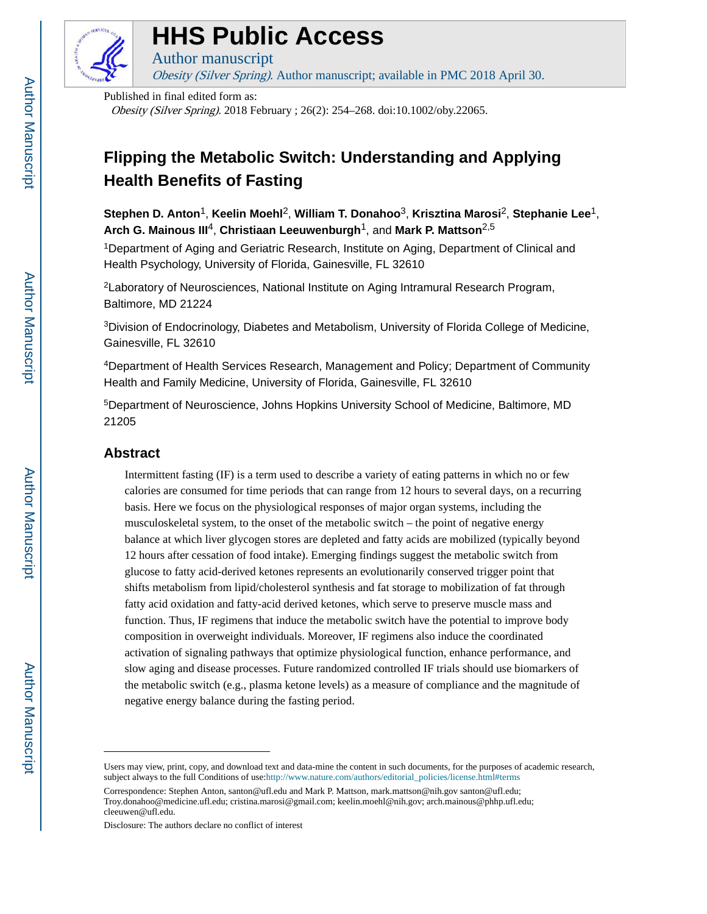

# **HHS Public Access**

Author manuscript Obesity (Silver Spring). Author manuscript; available in PMC 2018 April 30.

Published in final edited form as:

Obesity (Silver Spring). 2018 February ; 26(2): 254–268. doi:10.1002/oby.22065.

## **Flipping the Metabolic Switch: Understanding and Applying Health Benefits of Fasting**

**Stephen D. Anton**1, **Keelin Moehl**2, **William T. Donahoo**3, **Krisztina Marosi**2, **Stephanie Lee**1, **Arch G. Mainous III**4, **Christiaan Leeuwenburgh**1, and **Mark P. Mattson**2,5

<sup>1</sup>Department of Aging and Geriatric Research, Institute on Aging, Department of Clinical and Health Psychology, University of Florida, Gainesville, FL 32610

<sup>2</sup>Laboratory of Neurosciences, National Institute on Aging Intramural Research Program, Baltimore, MD 21224

<sup>3</sup>Division of Endocrinology, Diabetes and Metabolism, University of Florida College of Medicine, Gainesville, FL 32610

<sup>4</sup>Department of Health Services Research, Management and Policy; Department of Community Health and Family Medicine, University of Florida, Gainesville, FL 32610

<sup>5</sup>Department of Neuroscience, Johns Hopkins University School of Medicine, Baltimore, MD 21205

#### **Abstract**

Intermittent fasting (IF) is a term used to describe a variety of eating patterns in which no or few calories are consumed for time periods that can range from 12 hours to several days, on a recurring basis. Here we focus on the physiological responses of major organ systems, including the musculoskeletal system, to the onset of the metabolic switch – the point of negative energy balance at which liver glycogen stores are depleted and fatty acids are mobilized (typically beyond 12 hours after cessation of food intake). Emerging findings suggest the metabolic switch from glucose to fatty acid-derived ketones represents an evolutionarily conserved trigger point that shifts metabolism from lipid/cholesterol synthesis and fat storage to mobilization of fat through fatty acid oxidation and fatty-acid derived ketones, which serve to preserve muscle mass and function. Thus, IF regimens that induce the metabolic switch have the potential to improve body composition in overweight individuals. Moreover, IF regimens also induce the coordinated activation of signaling pathways that optimize physiological function, enhance performance, and slow aging and disease processes. Future randomized controlled IF trials should use biomarkers of the metabolic switch (e.g., plasma ketone levels) as a measure of compliance and the magnitude of negative energy balance during the fasting period.

Users may view, print, copy, and download text and data-mine the content in such documents, for the purposes of academic research, subject always to the full Conditions of use:[http://www.nature.com/authors/editorial\\_policies/license.html#terms](http://www.nature.com/authors/editorial_policies/license.html#terms)

Correspondence: Stephen Anton, santon@ufl.edu and Mark P. Mattson, mark.mattson@nih.gov santon@ufl.edu; Troy.donahoo@medicine.ufl.edu; cristina.marosi@gmail.com; keelin.moehl@nih.gov; arch.mainous@phhp.ufl.edu; cleeuwen@ufl.edu.

Disclosure: The authors declare no conflict of interest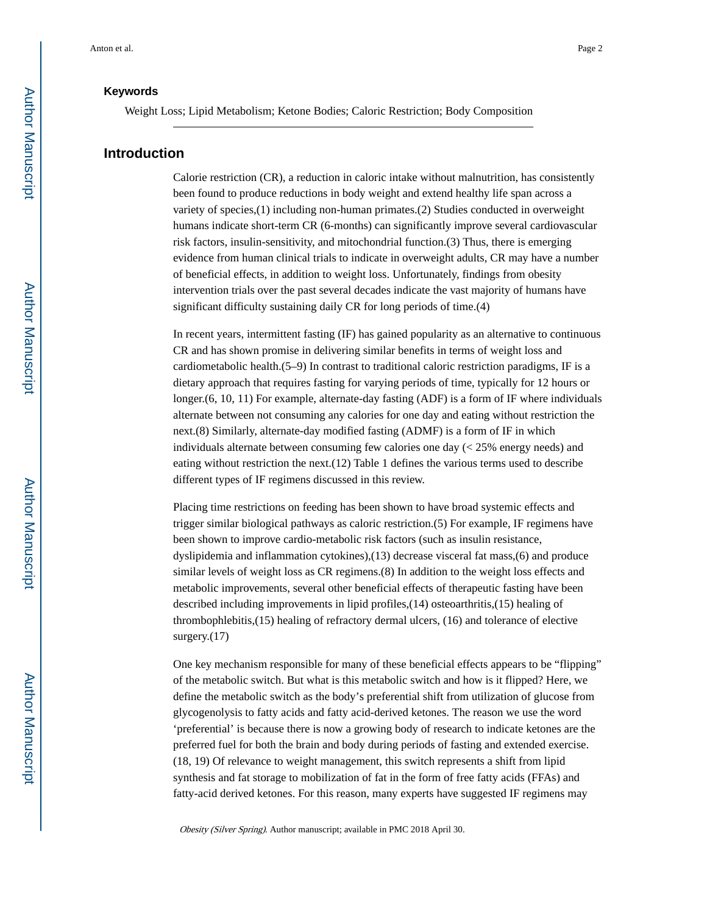#### **Keywords**

Weight Loss; Lipid Metabolism; Ketone Bodies; Caloric Restriction; Body Composition

#### **Introduction**

Calorie restriction (CR), a reduction in caloric intake without malnutrition, has consistently been found to produce reductions in body weight and extend healthy life span across a variety of species,(1) including non-human primates.(2) Studies conducted in overweight humans indicate short-term CR (6-months) can significantly improve several cardiovascular risk factors, insulin-sensitivity, and mitochondrial function.(3) Thus, there is emerging evidence from human clinical trials to indicate in overweight adults, CR may have a number of beneficial effects, in addition to weight loss. Unfortunately, findings from obesity intervention trials over the past several decades indicate the vast majority of humans have significant difficulty sustaining daily CR for long periods of time.(4)

In recent years, intermittent fasting (IF) has gained popularity as an alternative to continuous CR and has shown promise in delivering similar benefits in terms of weight loss and cardiometabolic health.(5–9) In contrast to traditional caloric restriction paradigms, IF is a dietary approach that requires fasting for varying periods of time, typically for 12 hours or longer.(6, 10, 11) For example, alternate-day fasting (ADF) is a form of IF where individuals alternate between not consuming any calories for one day and eating without restriction the next.(8) Similarly, alternate-day modified fasting (ADMF) is a form of IF in which individuals alternate between consuming few calories one day (< 25% energy needs) and eating without restriction the next.(12) Table 1 defines the various terms used to describe different types of IF regimens discussed in this review.

Placing time restrictions on feeding has been shown to have broad systemic effects and trigger similar biological pathways as caloric restriction.(5) For example, IF regimens have been shown to improve cardio-metabolic risk factors (such as insulin resistance, dyslipidemia and inflammation cytokines),(13) decrease visceral fat mass,(6) and produce similar levels of weight loss as CR regimens.(8) In addition to the weight loss effects and metabolic improvements, several other beneficial effects of therapeutic fasting have been described including improvements in lipid profiles,(14) osteoarthritis,(15) healing of thrombophlebitis,(15) healing of refractory dermal ulcers, (16) and tolerance of elective surgery.(17)

One key mechanism responsible for many of these beneficial effects appears to be "flipping" of the metabolic switch. But what is this metabolic switch and how is it flipped? Here, we define the metabolic switch as the body's preferential shift from utilization of glucose from glycogenolysis to fatty acids and fatty acid-derived ketones. The reason we use the word 'preferential' is because there is now a growing body of research to indicate ketones are the preferred fuel for both the brain and body during periods of fasting and extended exercise. (18, 19) Of relevance to weight management, this switch represents a shift from lipid synthesis and fat storage to mobilization of fat in the form of free fatty acids (FFAs) and fatty-acid derived ketones. For this reason, many experts have suggested IF regimens may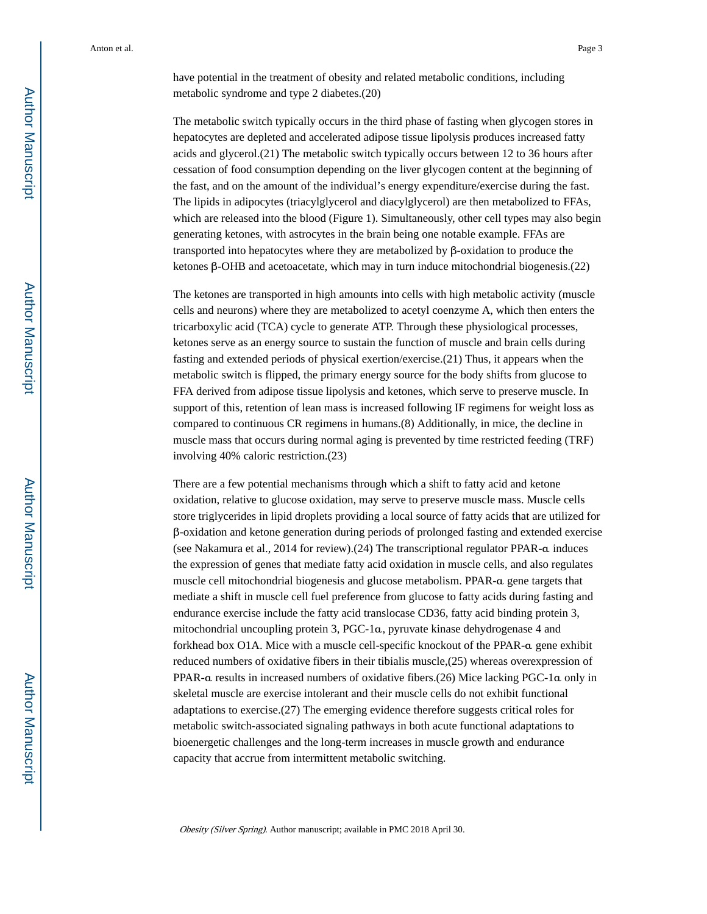have potential in the treatment of obesity and related metabolic conditions, including metabolic syndrome and type 2 diabetes.(20)

The metabolic switch typically occurs in the third phase of fasting when glycogen stores in hepatocytes are depleted and accelerated adipose tissue lipolysis produces increased fatty acids and glycerol.(21) The metabolic switch typically occurs between 12 to 36 hours after cessation of food consumption depending on the liver glycogen content at the beginning of the fast, and on the amount of the individual's energy expenditure/exercise during the fast. The lipids in adipocytes (triacylglycerol and diacylglycerol) are then metabolized to FFAs, which are released into the blood (Figure 1). Simultaneously, other cell types may also begin generating ketones, with astrocytes in the brain being one notable example. FFAs are transported into hepatocytes where they are metabolized by β-oxidation to produce the ketones β-OHB and acetoacetate, which may in turn induce mitochondrial biogenesis.(22)

The ketones are transported in high amounts into cells with high metabolic activity (muscle cells and neurons) where they are metabolized to acetyl coenzyme A, which then enters the tricarboxylic acid (TCA) cycle to generate ATP. Through these physiological processes, ketones serve as an energy source to sustain the function of muscle and brain cells during fasting and extended periods of physical exertion/exercise.(21) Thus, it appears when the metabolic switch is flipped, the primary energy source for the body shifts from glucose to FFA derived from adipose tissue lipolysis and ketones, which serve to preserve muscle. In support of this, retention of lean mass is increased following IF regimens for weight loss as compared to continuous CR regimens in humans.(8) Additionally, in mice, the decline in muscle mass that occurs during normal aging is prevented by time restricted feeding (TRF) involving 40% caloric restriction.(23)

There are a few potential mechanisms through which a shift to fatty acid and ketone oxidation, relative to glucose oxidation, may serve to preserve muscle mass. Muscle cells store triglycerides in lipid droplets providing a local source of fatty acids that are utilized for β-oxidation and ketone generation during periods of prolonged fasting and extended exercise (see Nakamura et al., 2014 for review).(24) The transcriptional regulator PPAR-α induces the expression of genes that mediate fatty acid oxidation in muscle cells, and also regulates muscle cell mitochondrial biogenesis and glucose metabolism. PPAR-α gene targets that mediate a shift in muscle cell fuel preference from glucose to fatty acids during fasting and endurance exercise include the fatty acid translocase CD36, fatty acid binding protein 3, mitochondrial uncoupling protein 3, PGC-1α, pyruvate kinase dehydrogenase 4 and forkhead box O1A. Mice with a muscle cell-specific knockout of the PPAR-α gene exhibit reduced numbers of oxidative fibers in their tibialis muscle,(25) whereas overexpression of PPAR-α results in increased numbers of oxidative fibers.(26) Mice lacking PGC-1α only in skeletal muscle are exercise intolerant and their muscle cells do not exhibit functional adaptations to exercise.(27) The emerging evidence therefore suggests critical roles for metabolic switch-associated signaling pathways in both acute functional adaptations to bioenergetic challenges and the long-term increases in muscle growth and endurance capacity that accrue from intermittent metabolic switching.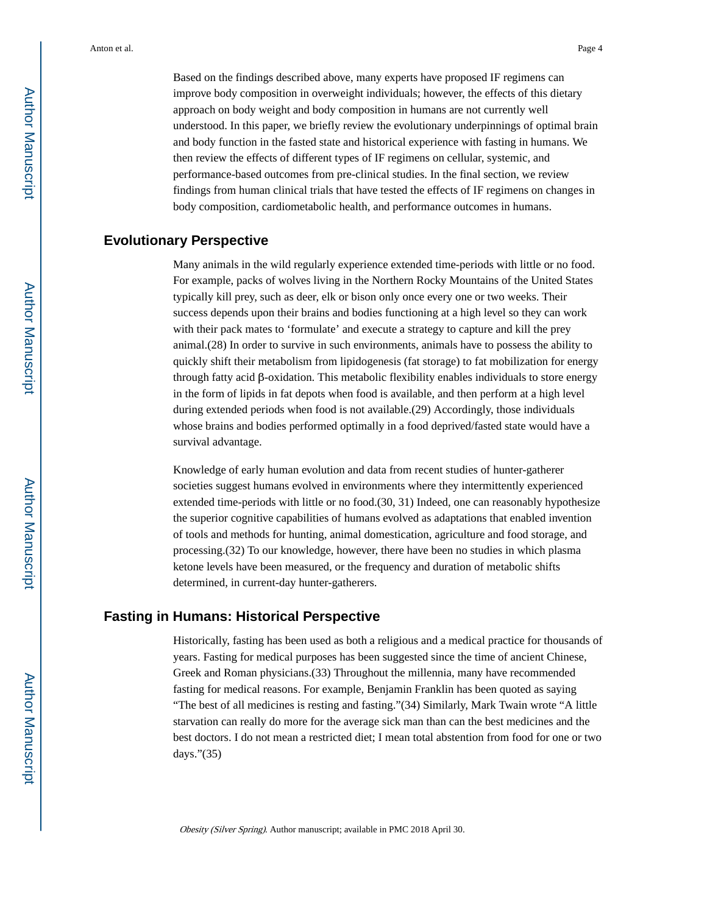Based on the findings described above, many experts have proposed IF regimens can improve body composition in overweight individuals; however, the effects of this dietary approach on body weight and body composition in humans are not currently well understood. In this paper, we briefly review the evolutionary underpinnings of optimal brain and body function in the fasted state and historical experience with fasting in humans. We then review the effects of different types of IF regimens on cellular, systemic, and performance-based outcomes from pre-clinical studies. In the final section, we review findings from human clinical trials that have tested the effects of IF regimens on changes in body composition, cardiometabolic health, and performance outcomes in humans.

#### **Evolutionary Perspective**

Many animals in the wild regularly experience extended time-periods with little or no food. For example, packs of wolves living in the Northern Rocky Mountains of the United States typically kill prey, such as deer, elk or bison only once every one or two weeks. Their success depends upon their brains and bodies functioning at a high level so they can work with their pack mates to 'formulate' and execute a strategy to capture and kill the prey animal.(28) In order to survive in such environments, animals have to possess the ability to quickly shift their metabolism from lipidogenesis (fat storage) to fat mobilization for energy through fatty acid β-oxidation. This metabolic flexibility enables individuals to store energy in the form of lipids in fat depots when food is available, and then perform at a high level during extended periods when food is not available.(29) Accordingly, those individuals whose brains and bodies performed optimally in a food deprived/fasted state would have a survival advantage.

Knowledge of early human evolution and data from recent studies of hunter-gatherer societies suggest humans evolved in environments where they intermittently experienced extended time-periods with little or no food.(30, 31) Indeed, one can reasonably hypothesize the superior cognitive capabilities of humans evolved as adaptations that enabled invention of tools and methods for hunting, animal domestication, agriculture and food storage, and processing.(32) To our knowledge, however, there have been no studies in which plasma ketone levels have been measured, or the frequency and duration of metabolic shifts determined, in current-day hunter-gatherers.

#### **Fasting in Humans: Historical Perspective**

Historically, fasting has been used as both a religious and a medical practice for thousands of years. Fasting for medical purposes has been suggested since the time of ancient Chinese, Greek and Roman physicians.(33) Throughout the millennia, many have recommended fasting for medical reasons. For example, Benjamin Franklin has been quoted as saying "The best of all medicines is resting and fasting."(34) Similarly, Mark Twain wrote "A little starvation can really do more for the average sick man than can the best medicines and the best doctors. I do not mean a restricted diet; I mean total abstention from food for one or two days."(35)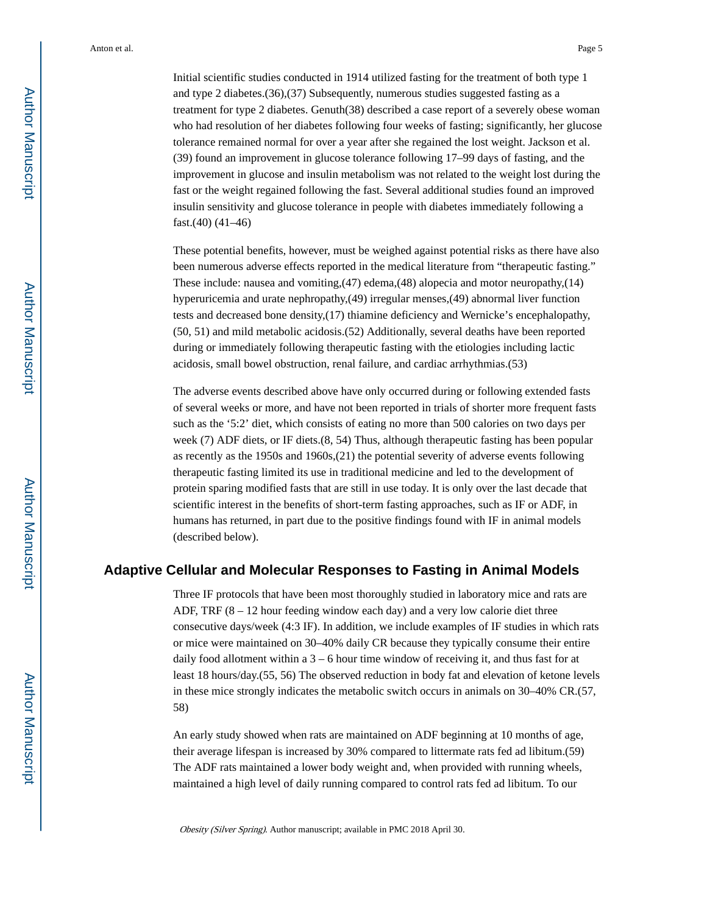Initial scientific studies conducted in 1914 utilized fasting for the treatment of both type 1 and type 2 diabetes.(36),(37) Subsequently, numerous studies suggested fasting as a treatment for type 2 diabetes. Genuth(38) described a case report of a severely obese woman who had resolution of her diabetes following four weeks of fasting; significantly, her glucose tolerance remained normal for over a year after she regained the lost weight. Jackson et al. (39) found an improvement in glucose tolerance following 17–99 days of fasting, and the improvement in glucose and insulin metabolism was not related to the weight lost during the fast or the weight regained following the fast. Several additional studies found an improved insulin sensitivity and glucose tolerance in people with diabetes immediately following a fast.(40) (41–46)

These potential benefits, however, must be weighed against potential risks as there have also been numerous adverse effects reported in the medical literature from "therapeutic fasting." These include: nausea and vomiting,(47) edema,(48) alopecia and motor neuropathy,(14) hyperuricemia and urate nephropathy,(49) irregular menses,(49) abnormal liver function tests and decreased bone density,(17) thiamine deficiency and Wernicke's encephalopathy, (50, 51) and mild metabolic acidosis.(52) Additionally, several deaths have been reported during or immediately following therapeutic fasting with the etiologies including lactic acidosis, small bowel obstruction, renal failure, and cardiac arrhythmias.(53)

The adverse events described above have only occurred during or following extended fasts of several weeks or more, and have not been reported in trials of shorter more frequent fasts such as the '5:2' diet, which consists of eating no more than 500 calories on two days per week (7) ADF diets, or IF diets.(8, 54) Thus, although therapeutic fasting has been popular as recently as the 1950s and 1960s,(21) the potential severity of adverse events following therapeutic fasting limited its use in traditional medicine and led to the development of protein sparing modified fasts that are still in use today. It is only over the last decade that scientific interest in the benefits of short-term fasting approaches, such as IF or ADF, in humans has returned, in part due to the positive findings found with IF in animal models (described below).

#### **Adaptive Cellular and Molecular Responses to Fasting in Animal Models**

Three IF protocols that have been most thoroughly studied in laboratory mice and rats are ADF, TRF  $(8 - 12$  hour feeding window each day) and a very low calorie diet three consecutive days/week (4:3 IF). In addition, we include examples of IF studies in which rats or mice were maintained on 30–40% daily CR because they typically consume their entire daily food allotment within a 3 – 6 hour time window of receiving it, and thus fast for at least 18 hours/day.(55, 56) The observed reduction in body fat and elevation of ketone levels in these mice strongly indicates the metabolic switch occurs in animals on 30–40% CR.(57, 58)

An early study showed when rats are maintained on ADF beginning at 10 months of age, their average lifespan is increased by 30% compared to littermate rats fed ad libitum.(59) The ADF rats maintained a lower body weight and, when provided with running wheels, maintained a high level of daily running compared to control rats fed ad libitum. To our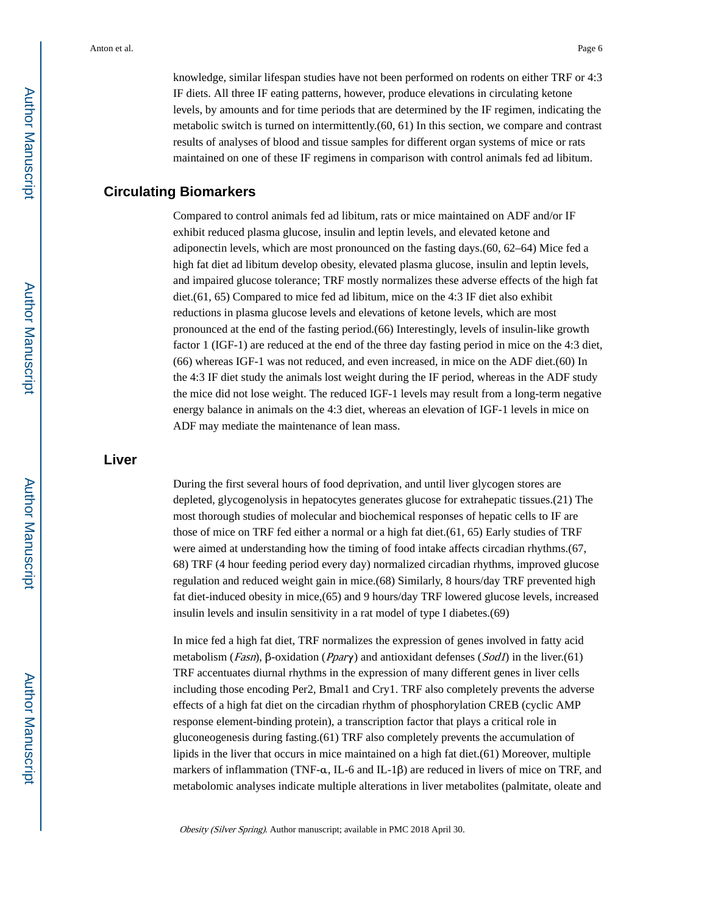knowledge, similar lifespan studies have not been performed on rodents on either TRF or 4:3 IF diets. All three IF eating patterns, however, produce elevations in circulating ketone levels, by amounts and for time periods that are determined by the IF regimen, indicating the metabolic switch is turned on intermittently.(60, 61) In this section, we compare and contrast results of analyses of blood and tissue samples for different organ systems of mice or rats maintained on one of these IF regimens in comparison with control animals fed ad libitum.

#### **Circulating Biomarkers**

Compared to control animals fed ad libitum, rats or mice maintained on ADF and/or IF exhibit reduced plasma glucose, insulin and leptin levels, and elevated ketone and adiponectin levels, which are most pronounced on the fasting days.(60, 62–64) Mice fed a high fat diet ad libitum develop obesity, elevated plasma glucose, insulin and leptin levels, and impaired glucose tolerance; TRF mostly normalizes these adverse effects of the high fat diet.(61, 65) Compared to mice fed ad libitum, mice on the 4:3 IF diet also exhibit reductions in plasma glucose levels and elevations of ketone levels, which are most pronounced at the end of the fasting period.(66) Interestingly, levels of insulin-like growth factor 1 (IGF-1) are reduced at the end of the three day fasting period in mice on the 4:3 diet, (66) whereas IGF-1 was not reduced, and even increased, in mice on the ADF diet.(60) In the 4:3 IF diet study the animals lost weight during the IF period, whereas in the ADF study the mice did not lose weight. The reduced IGF-1 levels may result from a long-term negative energy balance in animals on the 4:3 diet, whereas an elevation of IGF-1 levels in mice on ADF may mediate the maintenance of lean mass.

#### **Liver**

During the first several hours of food deprivation, and until liver glycogen stores are depleted, glycogenolysis in hepatocytes generates glucose for extrahepatic tissues.(21) The most thorough studies of molecular and biochemical responses of hepatic cells to IF are those of mice on TRF fed either a normal or a high fat diet.(61, 65) Early studies of TRF were aimed at understanding how the timing of food intake affects circadian rhythms.(67, 68) TRF (4 hour feeding period every day) normalized circadian rhythms, improved glucose regulation and reduced weight gain in mice.(68) Similarly, 8 hours/day TRF prevented high fat diet-induced obesity in mice,(65) and 9 hours/day TRF lowered glucose levels, increased insulin levels and insulin sensitivity in a rat model of type I diabetes.(69)

In mice fed a high fat diet, TRF normalizes the expression of genes involved in fatty acid metabolism (Fasn), β-oxidation (Pparγ) and antioxidant defenses (Sod1) in the liver.(61) TRF accentuates diurnal rhythms in the expression of many different genes in liver cells including those encoding Per2, Bmal1 and Cry1. TRF also completely prevents the adverse effects of a high fat diet on the circadian rhythm of phosphorylation CREB (cyclic AMP response element-binding protein), a transcription factor that plays a critical role in gluconeogenesis during fasting.(61) TRF also completely prevents the accumulation of lipids in the liver that occurs in mice maintained on a high fat diet.(61) Moreover, multiple markers of inflammation (TNF-α, IL-6 and IL-1β) are reduced in livers of mice on TRF, and metabolomic analyses indicate multiple alterations in liver metabolites (palmitate, oleate and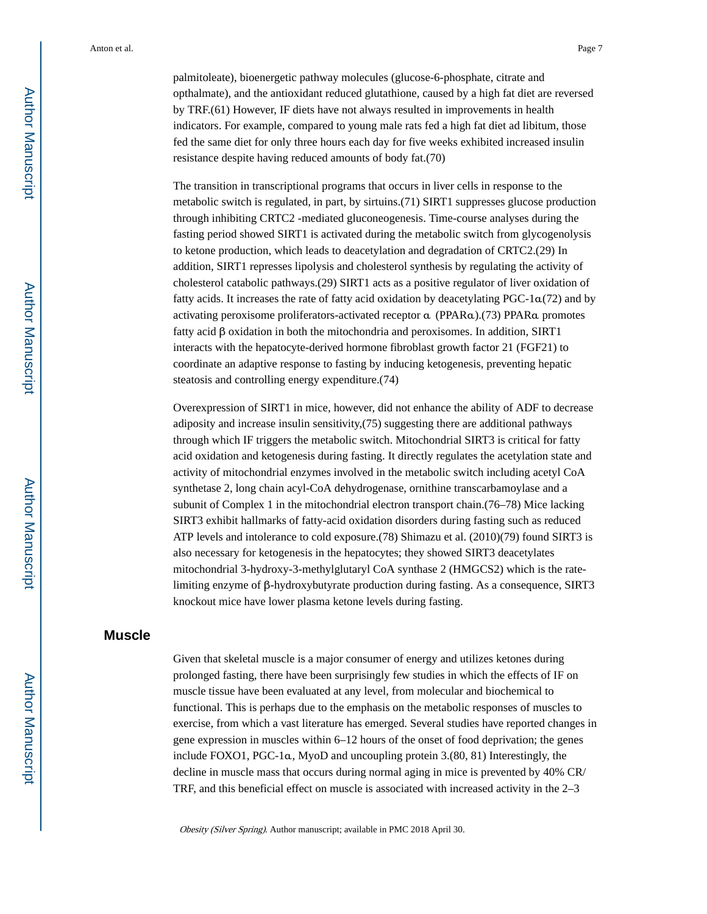palmitoleate), bioenergetic pathway molecules (glucose-6-phosphate, citrate and opthalmate), and the antioxidant reduced glutathione, caused by a high fat diet are reversed by TRF.(61) However, IF diets have not always resulted in improvements in health indicators. For example, compared to young male rats fed a high fat diet ad libitum, those fed the same diet for only three hours each day for five weeks exhibited increased insulin resistance despite having reduced amounts of body fat.(70)

The transition in transcriptional programs that occurs in liver cells in response to the metabolic switch is regulated, in part, by sirtuins.(71) SIRT1 suppresses glucose production through inhibiting CRTC2 -mediated gluconeogenesis. Time-course analyses during the fasting period showed SIRT1 is activated during the metabolic switch from glycogenolysis to ketone production, which leads to deacetylation and degradation of CRTC2.(29) In addition, SIRT1 represses lipolysis and cholesterol synthesis by regulating the activity of cholesterol catabolic pathways.(29) SIRT1 acts as a positive regulator of liver oxidation of fatty acids. It increases the rate of fatty acid oxidation by deacetylating PGC-1α(72) and by activating peroxisome proliferators-activated receptor α (PPARα).(73) PPARα promotes fatty acid β oxidation in both the mitochondria and peroxisomes. In addition, SIRT1 interacts with the hepatocyte-derived hormone fibroblast growth factor 21 (FGF21) to coordinate an adaptive response to fasting by inducing ketogenesis, preventing hepatic steatosis and controlling energy expenditure.(74)

Overexpression of SIRT1 in mice, however, did not enhance the ability of ADF to decrease adiposity and increase insulin sensitivity,(75) suggesting there are additional pathways through which IF triggers the metabolic switch. Mitochondrial SIRT3 is critical for fatty acid oxidation and ketogenesis during fasting. It directly regulates the acetylation state and activity of mitochondrial enzymes involved in the metabolic switch including acetyl CoA synthetase 2, long chain acyl-CoA dehydrogenase, ornithine transcarbamoylase and a subunit of Complex 1 in the mitochondrial electron transport chain.(76–78) Mice lacking SIRT3 exhibit hallmarks of fatty-acid oxidation disorders during fasting such as reduced ATP levels and intolerance to cold exposure.(78) Shimazu et al. (2010)(79) found SIRT3 is also necessary for ketogenesis in the hepatocytes; they showed SIRT3 deacetylates mitochondrial 3-hydroxy-3-methylglutaryl CoA synthase 2 (HMGCS2) which is the ratelimiting enzyme of β-hydroxybutyrate production during fasting. As a consequence, SIRT3 knockout mice have lower plasma ketone levels during fasting.

#### **Muscle**

Given that skeletal muscle is a major consumer of energy and utilizes ketones during prolonged fasting, there have been surprisingly few studies in which the effects of IF on muscle tissue have been evaluated at any level, from molecular and biochemical to functional. This is perhaps due to the emphasis on the metabolic responses of muscles to exercise, from which a vast literature has emerged. Several studies have reported changes in gene expression in muscles within 6–12 hours of the onset of food deprivation; the genes include FOXO1, PGC-1α, MyoD and uncoupling protein 3.(80, 81) Interestingly, the decline in muscle mass that occurs during normal aging in mice is prevented by 40% CR/ TRF, and this beneficial effect on muscle is associated with increased activity in the 2–3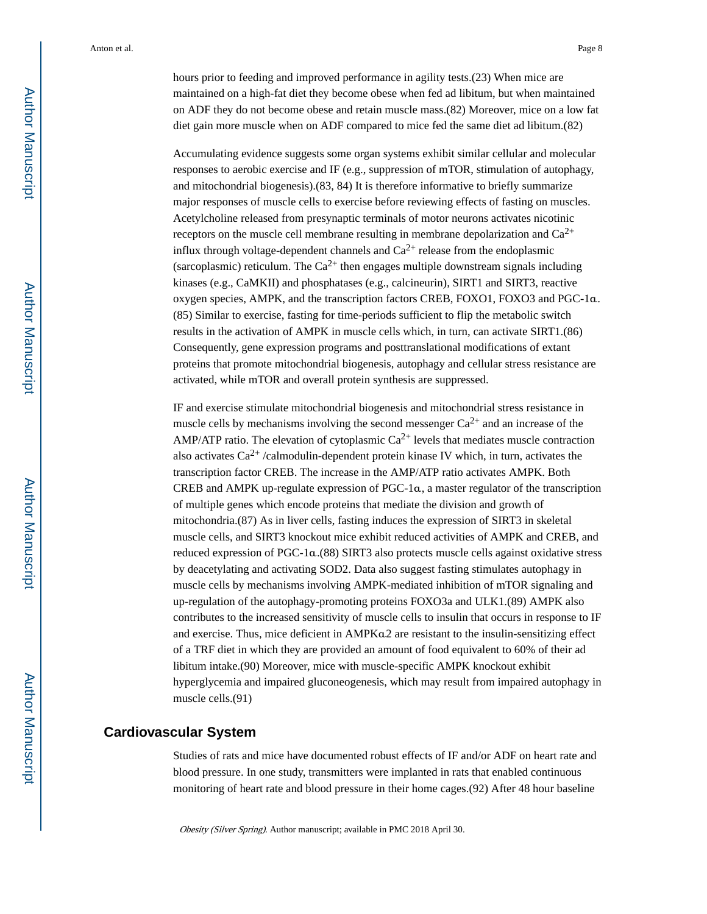hours prior to feeding and improved performance in agility tests.(23) When mice are maintained on a high-fat diet they become obese when fed ad libitum, but when maintained on ADF they do not become obese and retain muscle mass.(82) Moreover, mice on a low fat diet gain more muscle when on ADF compared to mice fed the same diet ad libitum.(82)

Accumulating evidence suggests some organ systems exhibit similar cellular and molecular responses to aerobic exercise and IF (e.g., suppression of mTOR, stimulation of autophagy, and mitochondrial biogenesis).(83, 84) It is therefore informative to briefly summarize major responses of muscle cells to exercise before reviewing effects of fasting on muscles. Acetylcholine released from presynaptic terminals of motor neurons activates nicotinic receptors on the muscle cell membrane resulting in membrane depolarization and  $Ca^{2+}$ influx through voltage-dependent channels and  $Ca^{2+}$  release from the endoplasmic (sarcoplasmic) reticulum. The  $Ca^{2+}$  then engages multiple downstream signals including kinases (e.g., CaMKII) and phosphatases (e.g., calcineurin), SIRT1 and SIRT3, reactive oxygen species, AMPK, and the transcription factors CREB, FOXO1, FOXO3 and PGC-1α. (85) Similar to exercise, fasting for time-periods sufficient to flip the metabolic switch results in the activation of AMPK in muscle cells which, in turn, can activate SIRT1.(86) Consequently, gene expression programs and posttranslational modifications of extant proteins that promote mitochondrial biogenesis, autophagy and cellular stress resistance are activated, while mTOR and overall protein synthesis are suppressed.

IF and exercise stimulate mitochondrial biogenesis and mitochondrial stress resistance in muscle cells by mechanisms involving the second messenger  $Ca^{2+}$  and an increase of the AMP/ATP ratio. The elevation of cytoplasmic  $Ca^{2+}$  levels that mediates muscle contraction also activates  $Ca^{2+}/cal$ calmodulin-dependent protein kinase IV which, in turn, activates the transcription factor CREB. The increase in the AMP/ATP ratio activates AMPK. Both CREB and AMPK up-regulate expression of PGC-1α, a master regulator of the transcription of multiple genes which encode proteins that mediate the division and growth of mitochondria.(87) As in liver cells, fasting induces the expression of SIRT3 in skeletal muscle cells, and SIRT3 knockout mice exhibit reduced activities of AMPK and CREB, and reduced expression of PGC-1α.(88) SIRT3 also protects muscle cells against oxidative stress by deacetylating and activating SOD2. Data also suggest fasting stimulates autophagy in muscle cells by mechanisms involving AMPK-mediated inhibition of mTOR signaling and up-regulation of the autophagy-promoting proteins FOXO3a and ULK1.(89) AMPK also contributes to the increased sensitivity of muscle cells to insulin that occurs in response to IF and exercise. Thus, mice deficient in AMPKα2 are resistant to the insulin-sensitizing effect of a TRF diet in which they are provided an amount of food equivalent to 60% of their ad libitum intake.(90) Moreover, mice with muscle-specific AMPK knockout exhibit hyperglycemia and impaired gluconeogenesis, which may result from impaired autophagy in muscle cells.(91)

#### **Cardiovascular System**

Studies of rats and mice have documented robust effects of IF and/or ADF on heart rate and blood pressure. In one study, transmitters were implanted in rats that enabled continuous monitoring of heart rate and blood pressure in their home cages.(92) After 48 hour baseline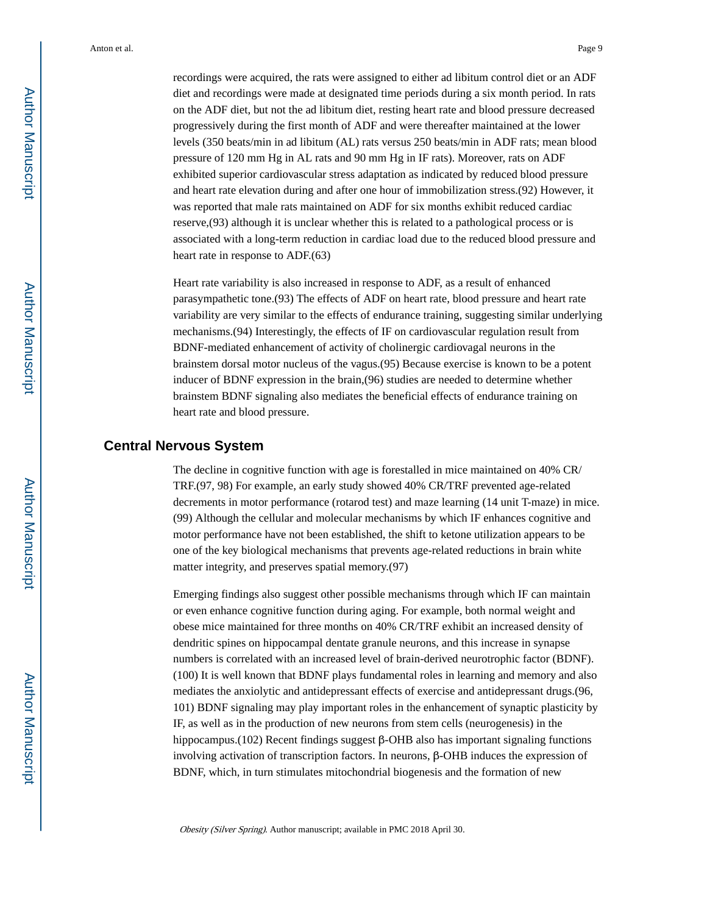recordings were acquired, the rats were assigned to either ad libitum control diet or an ADF diet and recordings were made at designated time periods during a six month period. In rats on the ADF diet, but not the ad libitum diet, resting heart rate and blood pressure decreased progressively during the first month of ADF and were thereafter maintained at the lower levels (350 beats/min in ad libitum (AL) rats versus 250 beats/min in ADF rats; mean blood pressure of 120 mm Hg in AL rats and 90 mm Hg in IF rats). Moreover, rats on ADF exhibited superior cardiovascular stress adaptation as indicated by reduced blood pressure and heart rate elevation during and after one hour of immobilization stress.(92) However, it was reported that male rats maintained on ADF for six months exhibit reduced cardiac reserve,(93) although it is unclear whether this is related to a pathological process or is associated with a long-term reduction in cardiac load due to the reduced blood pressure and heart rate in response to ADF.(63)

Heart rate variability is also increased in response to ADF, as a result of enhanced parasympathetic tone.(93) The effects of ADF on heart rate, blood pressure and heart rate variability are very similar to the effects of endurance training, suggesting similar underlying mechanisms.(94) Interestingly, the effects of IF on cardiovascular regulation result from BDNF-mediated enhancement of activity of cholinergic cardiovagal neurons in the brainstem dorsal motor nucleus of the vagus.(95) Because exercise is known to be a potent inducer of BDNF expression in the brain,(96) studies are needed to determine whether brainstem BDNF signaling also mediates the beneficial effects of endurance training on heart rate and blood pressure.

#### **Central Nervous System**

The decline in cognitive function with age is forestalled in mice maintained on 40% CR/ TRF.(97, 98) For example, an early study showed 40% CR/TRF prevented age-related decrements in motor performance (rotarod test) and maze learning (14 unit T-maze) in mice. (99) Although the cellular and molecular mechanisms by which IF enhances cognitive and motor performance have not been established, the shift to ketone utilization appears to be one of the key biological mechanisms that prevents age-related reductions in brain white matter integrity, and preserves spatial memory.(97)

Emerging findings also suggest other possible mechanisms through which IF can maintain or even enhance cognitive function during aging. For example, both normal weight and obese mice maintained for three months on 40% CR/TRF exhibit an increased density of dendritic spines on hippocampal dentate granule neurons, and this increase in synapse numbers is correlated with an increased level of brain-derived neurotrophic factor (BDNF). (100) It is well known that BDNF plays fundamental roles in learning and memory and also mediates the anxiolytic and antidepressant effects of exercise and antidepressant drugs.(96, 101) BDNF signaling may play important roles in the enhancement of synaptic plasticity by IF, as well as in the production of new neurons from stem cells (neurogenesis) in the hippocampus.(102) Recent findings suggest β-OHB also has important signaling functions involving activation of transcription factors. In neurons, β-OHB induces the expression of BDNF, which, in turn stimulates mitochondrial biogenesis and the formation of new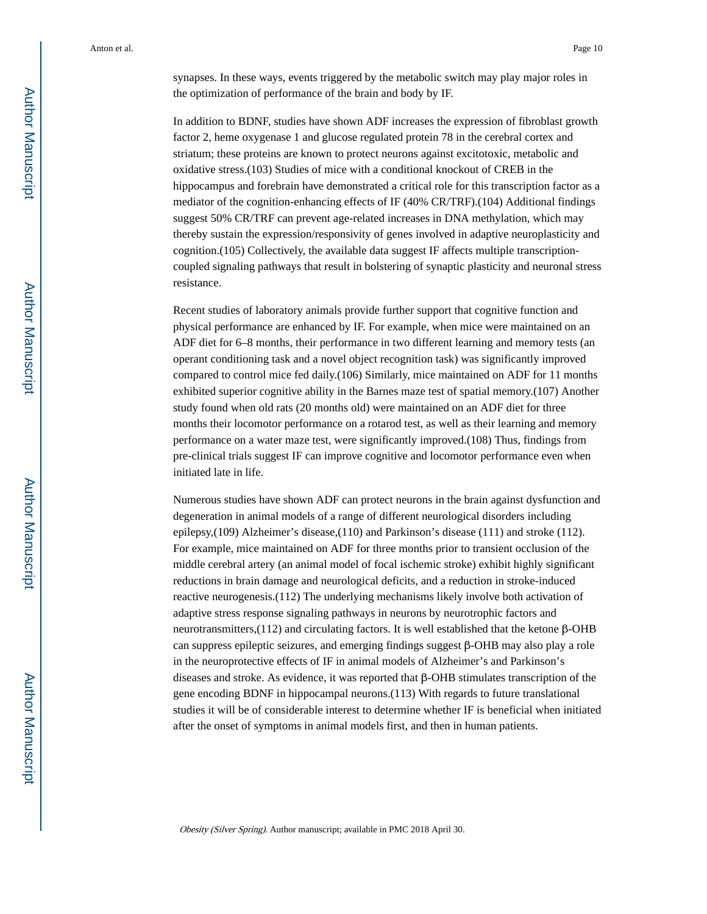synapses. In these ways, events triggered by the metabolic switch may play major roles in the optimization of performance of the brain and body by IF.

In addition to BDNF, studies have shown ADF increases the expression of fibroblast growth factor 2, heme oxygenase 1 and glucose regulated protein 78 in the cerebral cortex and striatum; these proteins are known to protect neurons against excitotoxic, metabolic and oxidative stress.(103) Studies of mice with a conditional knockout of CREB in the hippocampus and forebrain have demonstrated a critical role for this transcription factor as a mediator of the cognition-enhancing effects of IF (40% CR/TRF).(104) Additional findings suggest 50% CR/TRF can prevent age-related increases in DNA methylation, which may thereby sustain the expression/responsivity of genes involved in adaptive neuroplasticity and cognition.(105) Collectively, the available data suggest IF affects multiple transcriptioncoupled signaling pathways that result in bolstering of synaptic plasticity and neuronal stress resistance.

Recent studies of laboratory animals provide further support that cognitive function and physical performance are enhanced by IF. For example, when mice were maintained on an ADF diet for 6–8 months, their performance in two different learning and memory tests (an operant conditioning task and a novel object recognition task) was significantly improved compared to control mice fed daily.(106) Similarly, mice maintained on ADF for 11 months exhibited superior cognitive ability in the Barnes maze test of spatial memory.(107) Another study found when old rats (20 months old) were maintained on an ADF diet for three months their locomotor performance on a rotarod test, as well as their learning and memory performance on a water maze test, were significantly improved.(108) Thus, findings from pre-clinical trials suggest IF can improve cognitive and locomotor performance even when initiated late in life.

Numerous studies have shown ADF can protect neurons in the brain against dysfunction and degeneration in animal models of a range of different neurological disorders including epilepsy,(109) Alzheimer's disease,(110) and Parkinson's disease (111) and stroke (112). For example, mice maintained on ADF for three months prior to transient occlusion of the middle cerebral artery (an animal model of focal ischemic stroke) exhibit highly significant reductions in brain damage and neurological deficits, and a reduction in stroke-induced reactive neurogenesis.(112) The underlying mechanisms likely involve both activation of adaptive stress response signaling pathways in neurons by neurotrophic factors and neurotransmitters,(112) and circulating factors. It is well established that the ketone β-OHB can suppress epileptic seizures, and emerging findings suggest β-OHB may also play a role in the neuroprotective effects of IF in animal models of Alzheimer's and Parkinson's diseases and stroke. As evidence, it was reported that β-OHB stimulates transcription of the gene encoding BDNF in hippocampal neurons.(113) With regards to future translational studies it will be of considerable interest to determine whether IF is beneficial when initiated after the onset of symptoms in animal models first, and then in human patients.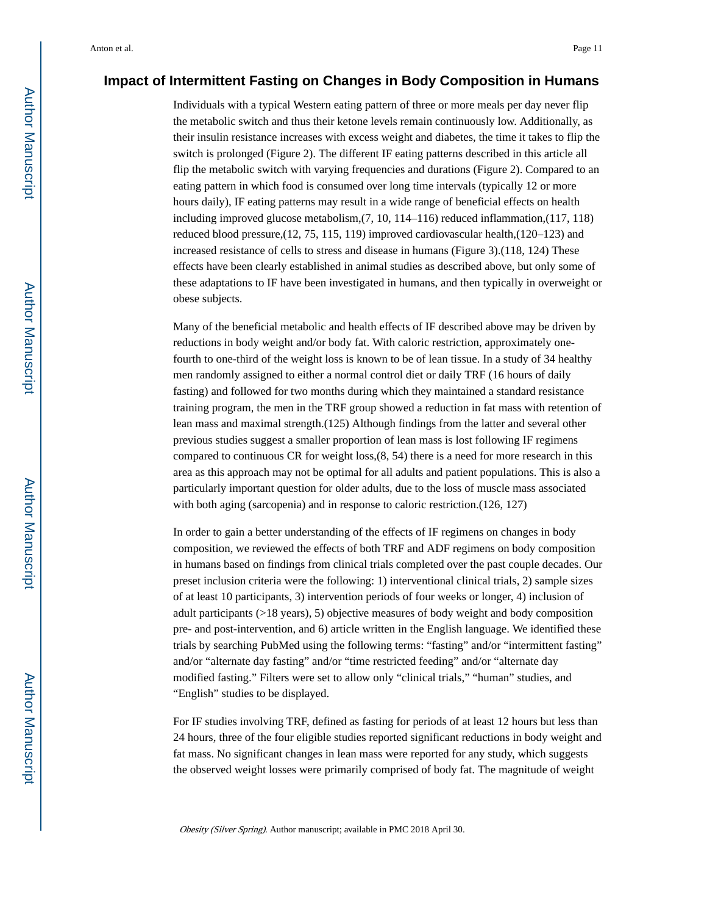#### **Impact of Intermittent Fasting on Changes in Body Composition in Humans**

Individuals with a typical Western eating pattern of three or more meals per day never flip the metabolic switch and thus their ketone levels remain continuously low. Additionally, as their insulin resistance increases with excess weight and diabetes, the time it takes to flip the switch is prolonged (Figure 2). The different IF eating patterns described in this article all flip the metabolic switch with varying frequencies and durations (Figure 2). Compared to an eating pattern in which food is consumed over long time intervals (typically 12 or more hours daily), IF eating patterns may result in a wide range of beneficial effects on health including improved glucose metabolism,(7, 10, 114–116) reduced inflammation,(117, 118) reduced blood pressure,(12, 75, 115, 119) improved cardiovascular health,(120–123) and increased resistance of cells to stress and disease in humans (Figure 3).(118, 124) These effects have been clearly established in animal studies as described above, but only some of these adaptations to IF have been investigated in humans, and then typically in overweight or obese subjects.

Many of the beneficial metabolic and health effects of IF described above may be driven by reductions in body weight and/or body fat. With caloric restriction, approximately onefourth to one-third of the weight loss is known to be of lean tissue. In a study of 34 healthy men randomly assigned to either a normal control diet or daily TRF (16 hours of daily fasting) and followed for two months during which they maintained a standard resistance training program, the men in the TRF group showed a reduction in fat mass with retention of lean mass and maximal strength.(125) Although findings from the latter and several other previous studies suggest a smaller proportion of lean mass is lost following IF regimens compared to continuous CR for weight loss,(8, 54) there is a need for more research in this area as this approach may not be optimal for all adults and patient populations. This is also a particularly important question for older adults, due to the loss of muscle mass associated with both aging (sarcopenia) and in response to caloric restriction.(126, 127)

In order to gain a better understanding of the effects of IF regimens on changes in body composition, we reviewed the effects of both TRF and ADF regimens on body composition in humans based on findings from clinical trials completed over the past couple decades. Our preset inclusion criteria were the following: 1) interventional clinical trials, 2) sample sizes of at least 10 participants, 3) intervention periods of four weeks or longer, 4) inclusion of adult participants (>18 years), 5) objective measures of body weight and body composition pre- and post-intervention, and 6) article written in the English language. We identified these trials by searching PubMed using the following terms: "fasting" and/or "intermittent fasting" and/or "alternate day fasting" and/or "time restricted feeding" and/or "alternate day modified fasting." Filters were set to allow only "clinical trials," "human" studies, and "English" studies to be displayed.

For IF studies involving TRF, defined as fasting for periods of at least 12 hours but less than 24 hours, three of the four eligible studies reported significant reductions in body weight and fat mass. No significant changes in lean mass were reported for any study, which suggests the observed weight losses were primarily comprised of body fat. The magnitude of weight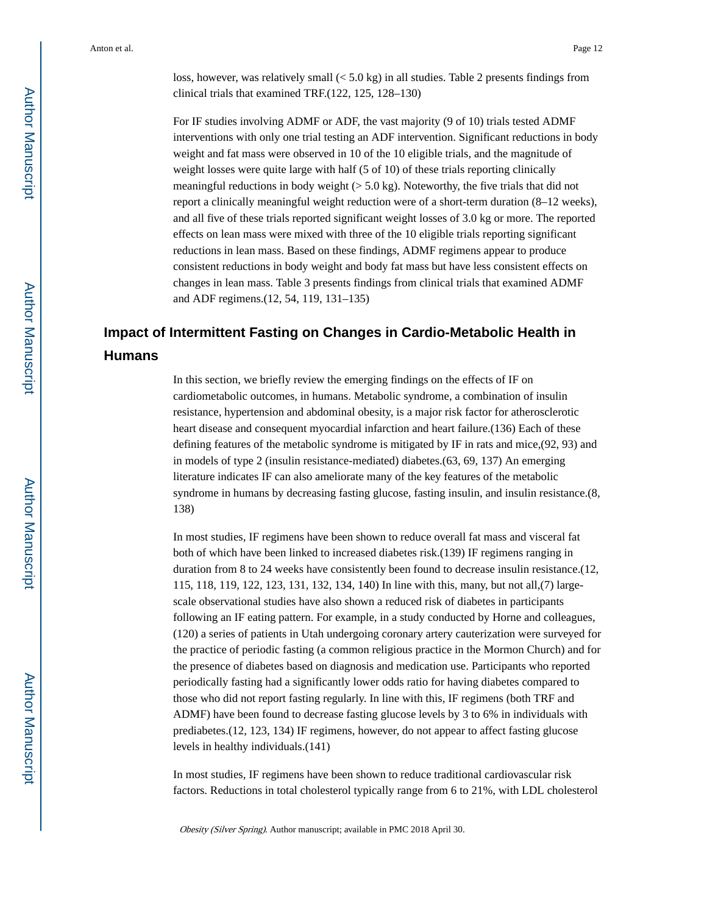loss, however, was relatively small  $( $5.0 \text{ kg}$ )$  in all studies. Table 2 presents findings from clinical trials that examined TRF.(122, 125, 128–130)

For IF studies involving ADMF or ADF, the vast majority (9 of 10) trials tested ADMF interventions with only one trial testing an ADF intervention. Significant reductions in body weight and fat mass were observed in 10 of the 10 eligible trials, and the magnitude of weight losses were quite large with half (5 of 10) of these trials reporting clinically meaningful reductions in body weight  $(> 5.0 \text{ kg})$ . Noteworthy, the five trials that did not report a clinically meaningful weight reduction were of a short-term duration (8–12 weeks), and all five of these trials reported significant weight losses of 3.0 kg or more. The reported effects on lean mass were mixed with three of the 10 eligible trials reporting significant reductions in lean mass. Based on these findings, ADMF regimens appear to produce consistent reductions in body weight and body fat mass but have less consistent effects on changes in lean mass. Table 3 presents findings from clinical trials that examined ADMF and ADF regimens.(12, 54, 119, 131–135)

## **Impact of Intermittent Fasting on Changes in Cardio-Metabolic Health in Humans**

In this section, we briefly review the emerging findings on the effects of IF on cardiometabolic outcomes, in humans. Metabolic syndrome, a combination of insulin resistance, hypertension and abdominal obesity, is a major risk factor for atherosclerotic heart disease and consequent myocardial infarction and heart failure.(136) Each of these defining features of the metabolic syndrome is mitigated by IF in rats and mice,(92, 93) and in models of type 2 (insulin resistance-mediated) diabetes.(63, 69, 137) An emerging literature indicates IF can also ameliorate many of the key features of the metabolic syndrome in humans by decreasing fasting glucose, fasting insulin, and insulin resistance.(8, 138)

In most studies, IF regimens have been shown to reduce overall fat mass and visceral fat both of which have been linked to increased diabetes risk.(139) IF regimens ranging in duration from 8 to 24 weeks have consistently been found to decrease insulin resistance.(12, 115, 118, 119, 122, 123, 131, 132, 134, 140) In line with this, many, but not all,(7) largescale observational studies have also shown a reduced risk of diabetes in participants following an IF eating pattern. For example, in a study conducted by Horne and colleagues, (120) a series of patients in Utah undergoing coronary artery cauterization were surveyed for the practice of periodic fasting (a common religious practice in the Mormon Church) and for the presence of diabetes based on diagnosis and medication use. Participants who reported periodically fasting had a significantly lower odds ratio for having diabetes compared to those who did not report fasting regularly. In line with this, IF regimens (both TRF and ADMF) have been found to decrease fasting glucose levels by 3 to 6% in individuals with prediabetes.(12, 123, 134) IF regimens, however, do not appear to affect fasting glucose levels in healthy individuals.(141)

In most studies, IF regimens have been shown to reduce traditional cardiovascular risk factors. Reductions in total cholesterol typically range from 6 to 21%, with LDL cholesterol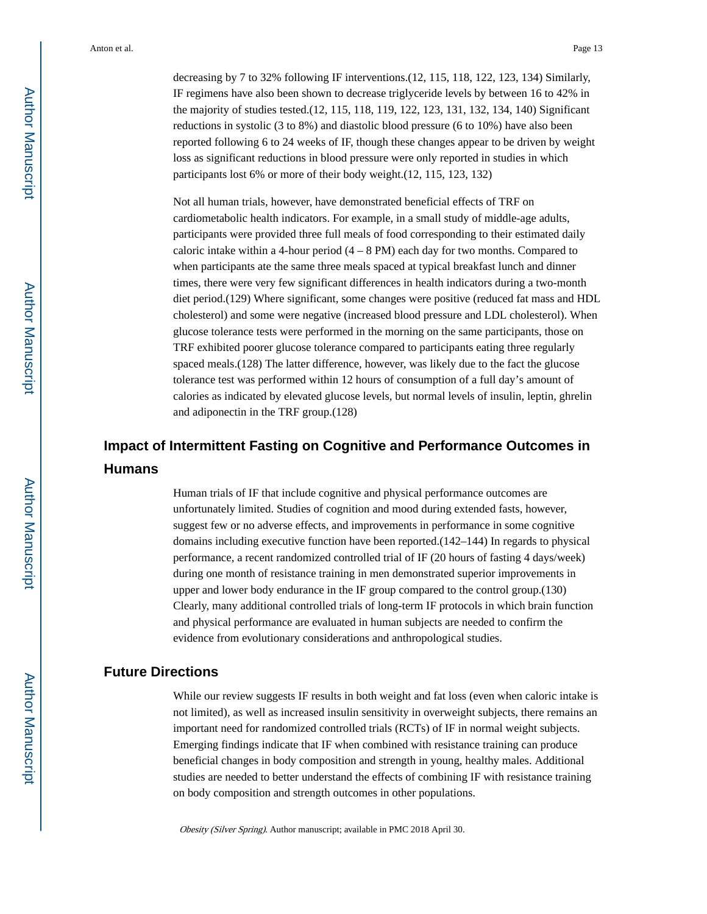decreasing by 7 to 32% following IF interventions.(12, 115, 118, 122, 123, 134) Similarly, IF regimens have also been shown to decrease triglyceride levels by between 16 to 42% in the majority of studies tested.(12, 115, 118, 119, 122, 123, 131, 132, 134, 140) Significant reductions in systolic (3 to 8%) and diastolic blood pressure (6 to 10%) have also been reported following 6 to 24 weeks of IF, though these changes appear to be driven by weight loss as significant reductions in blood pressure were only reported in studies in which participants lost 6% or more of their body weight.(12, 115, 123, 132)

Not all human trials, however, have demonstrated beneficial effects of TRF on cardiometabolic health indicators. For example, in a small study of middle-age adults, participants were provided three full meals of food corresponding to their estimated daily caloric intake within a 4-hour period  $(4 - 8$  PM) each day for two months. Compared to when participants ate the same three meals spaced at typical breakfast lunch and dinner times, there were very few significant differences in health indicators during a two-month diet period.(129) Where significant, some changes were positive (reduced fat mass and HDL cholesterol) and some were negative (increased blood pressure and LDL cholesterol). When glucose tolerance tests were performed in the morning on the same participants, those on TRF exhibited poorer glucose tolerance compared to participants eating three regularly spaced meals.(128) The latter difference, however, was likely due to the fact the glucose tolerance test was performed within 12 hours of consumption of a full day's amount of calories as indicated by elevated glucose levels, but normal levels of insulin, leptin, ghrelin and adiponectin in the TRF group.(128)

## **Impact of Intermittent Fasting on Cognitive and Performance Outcomes in Humans**

Human trials of IF that include cognitive and physical performance outcomes are unfortunately limited. Studies of cognition and mood during extended fasts, however, suggest few or no adverse effects, and improvements in performance in some cognitive domains including executive function have been reported.(142–144) In regards to physical performance, a recent randomized controlled trial of IF (20 hours of fasting 4 days/week) during one month of resistance training in men demonstrated superior improvements in upper and lower body endurance in the IF group compared to the control group.(130) Clearly, many additional controlled trials of long-term IF protocols in which brain function and physical performance are evaluated in human subjects are needed to confirm the evidence from evolutionary considerations and anthropological studies.

#### **Future Directions**

While our review suggests IF results in both weight and fat loss (even when caloric intake is not limited), as well as increased insulin sensitivity in overweight subjects, there remains an important need for randomized controlled trials (RCTs) of IF in normal weight subjects. Emerging findings indicate that IF when combined with resistance training can produce beneficial changes in body composition and strength in young, healthy males. Additional studies are needed to better understand the effects of combining IF with resistance training on body composition and strength outcomes in other populations.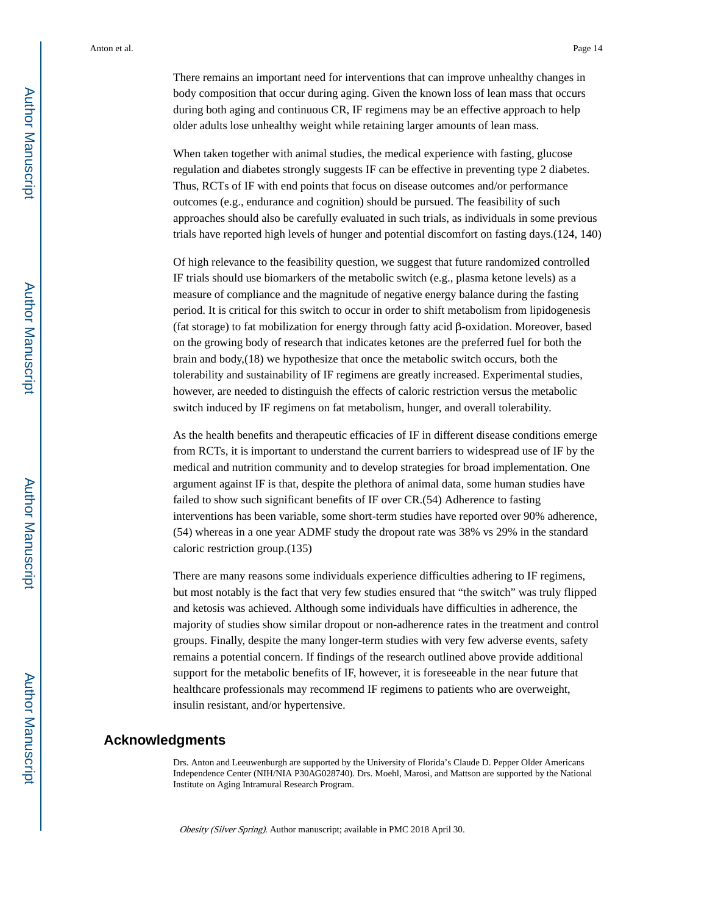There remains an important need for interventions that can improve unhealthy changes in body composition that occur during aging. Given the known loss of lean mass that occurs during both aging and continuous CR, IF regimens may be an effective approach to help older adults lose unhealthy weight while retaining larger amounts of lean mass.

When taken together with animal studies, the medical experience with fasting, glucose regulation and diabetes strongly suggests IF can be effective in preventing type 2 diabetes. Thus, RCTs of IF with end points that focus on disease outcomes and/or performance outcomes (e.g., endurance and cognition) should be pursued. The feasibility of such approaches should also be carefully evaluated in such trials, as individuals in some previous trials have reported high levels of hunger and potential discomfort on fasting days.(124, 140)

Of high relevance to the feasibility question, we suggest that future randomized controlled IF trials should use biomarkers of the metabolic switch (e.g., plasma ketone levels) as a measure of compliance and the magnitude of negative energy balance during the fasting period. It is critical for this switch to occur in order to shift metabolism from lipidogenesis (fat storage) to fat mobilization for energy through fatty acid β-oxidation. Moreover, based on the growing body of research that indicates ketones are the preferred fuel for both the brain and body,(18) we hypothesize that once the metabolic switch occurs, both the tolerability and sustainability of IF regimens are greatly increased. Experimental studies, however, are needed to distinguish the effects of caloric restriction versus the metabolic switch induced by IF regimens on fat metabolism, hunger, and overall tolerability.

As the health benefits and therapeutic efficacies of IF in different disease conditions emerge from RCTs, it is important to understand the current barriers to widespread use of IF by the medical and nutrition community and to develop strategies for broad implementation. One argument against IF is that, despite the plethora of animal data, some human studies have failed to show such significant benefits of IF over CR.(54) Adherence to fasting interventions has been variable, some short-term studies have reported over 90% adherence, (54) whereas in a one year ADMF study the dropout rate was 38% vs 29% in the standard caloric restriction group.(135)

There are many reasons some individuals experience difficulties adhering to IF regimens, but most notably is the fact that very few studies ensured that "the switch" was truly flipped and ketosis was achieved. Although some individuals have difficulties in adherence, the majority of studies show similar dropout or non-adherence rates in the treatment and control groups. Finally, despite the many longer-term studies with very few adverse events, safety remains a potential concern. If findings of the research outlined above provide additional support for the metabolic benefits of IF, however, it is foreseeable in the near future that healthcare professionals may recommend IF regimens to patients who are overweight, insulin resistant, and/or hypertensive.

#### **Acknowledgments**

Drs. Anton and Leeuwenburgh are supported by the University of Florida's Claude D. Pepper Older Americans Independence Center (NIH/NIA P30AG028740). Drs. Moehl, Marosi, and Mattson are supported by the National Institute on Aging Intramural Research Program.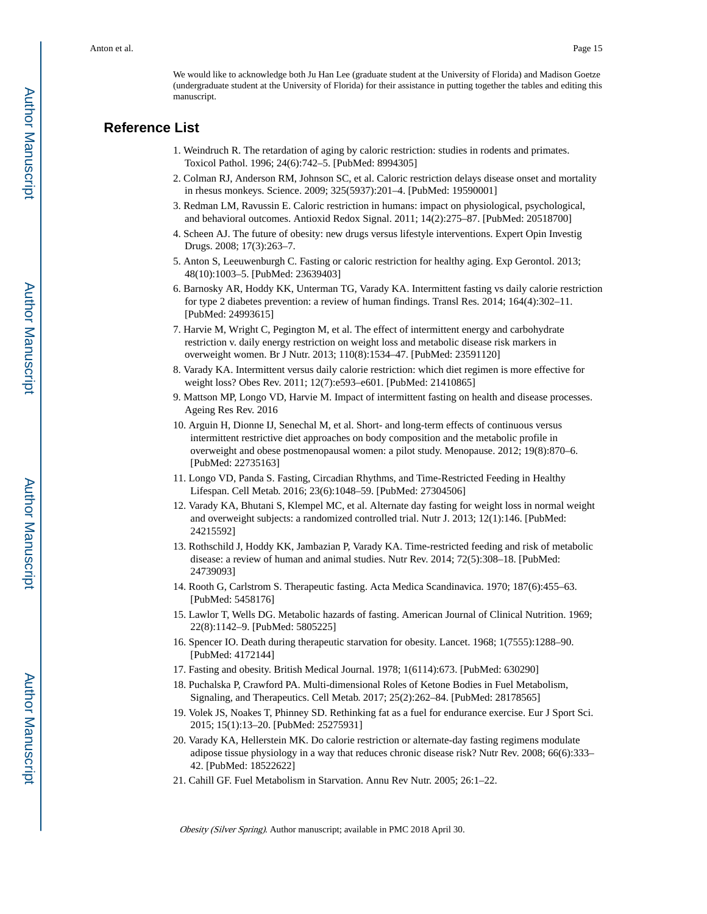We would like to acknowledge both Ju Han Lee (graduate student at the University of Florida) and Madison Goetze (undergraduate student at the University of Florida) for their assistance in putting together the tables and editing this manuscript.

#### **Reference List**

- 1. Weindruch R. The retardation of aging by caloric restriction: studies in rodents and primates. Toxicol Pathol. 1996; 24(6):742–5. [PubMed: 8994305]
- 2. Colman RJ, Anderson RM, Johnson SC, et al. Caloric restriction delays disease onset and mortality in rhesus monkeys. Science. 2009; 325(5937):201–4. [PubMed: 19590001]
- 3. Redman LM, Ravussin E. Caloric restriction in humans: impact on physiological, psychological, and behavioral outcomes. Antioxid Redox Signal. 2011; 14(2):275–87. [PubMed: 20518700]
- 4. Scheen AJ. The future of obesity: new drugs versus lifestyle interventions. Expert Opin Investig Drugs. 2008; 17(3):263–7.
- 5. Anton S, Leeuwenburgh C. Fasting or caloric restriction for healthy aging. Exp Gerontol. 2013; 48(10):1003–5. [PubMed: 23639403]
- 6. Barnosky AR, Hoddy KK, Unterman TG, Varady KA. Intermittent fasting vs daily calorie restriction for type 2 diabetes prevention: a review of human findings. Transl Res. 2014; 164(4):302–11. [PubMed: 24993615]
- 7. Harvie M, Wright C, Pegington M, et al. The effect of intermittent energy and carbohydrate restriction v. daily energy restriction on weight loss and metabolic disease risk markers in overweight women. Br J Nutr. 2013; 110(8):1534–47. [PubMed: 23591120]
- 8. Varady KA. Intermittent versus daily calorie restriction: which diet regimen is more effective for weight loss? Obes Rev. 2011; 12(7):e593–e601. [PubMed: 21410865]
- 9. Mattson MP, Longo VD, Harvie M. Impact of intermittent fasting on health and disease processes. Ageing Res Rev. 2016
- 10. Arguin H, Dionne IJ, Senechal M, et al. Short- and long-term effects of continuous versus intermittent restrictive diet approaches on body composition and the metabolic profile in overweight and obese postmenopausal women: a pilot study. Menopause. 2012; 19(8):870–6. [PubMed: 22735163]
- 11. Longo VD, Panda S. Fasting, Circadian Rhythms, and Time-Restricted Feeding in Healthy Lifespan. Cell Metab. 2016; 23(6):1048–59. [PubMed: 27304506]
- 12. Varady KA, Bhutani S, Klempel MC, et al. Alternate day fasting for weight loss in normal weight and overweight subjects: a randomized controlled trial. Nutr J. 2013; 12(1):146. [PubMed: 24215592]
- 13. Rothschild J, Hoddy KK, Jambazian P, Varady KA. Time-restricted feeding and risk of metabolic disease: a review of human and animal studies. Nutr Rev. 2014; 72(5):308–18. [PubMed: 24739093]
- 14. Rooth G, Carlstrom S. Therapeutic fasting. Acta Medica Scandinavica. 1970; 187(6):455–63. [PubMed: 5458176]
- 15. Lawlor T, Wells DG. Metabolic hazards of fasting. American Journal of Clinical Nutrition. 1969; 22(8):1142–9. [PubMed: 5805225]
- 16. Spencer IO. Death during therapeutic starvation for obesity. Lancet. 1968; 1(7555):1288–90. [PubMed: 4172144]
- 17. Fasting and obesity. British Medical Journal. 1978; 1(6114):673. [PubMed: 630290]
- 18. Puchalska P, Crawford PA. Multi-dimensional Roles of Ketone Bodies in Fuel Metabolism, Signaling, and Therapeutics. Cell Metab. 2017; 25(2):262–84. [PubMed: 28178565]
- 19. Volek JS, Noakes T, Phinney SD. Rethinking fat as a fuel for endurance exercise. Eur J Sport Sci. 2015; 15(1):13–20. [PubMed: 25275931]
- 20. Varady KA, Hellerstein MK. Do calorie restriction or alternate-day fasting regimens modulate adipose tissue physiology in a way that reduces chronic disease risk? Nutr Rev. 2008; 66(6):333– 42. [PubMed: 18522622]
- 21. Cahill GF. Fuel Metabolism in Starvation. Annu Rev Nutr. 2005; 26:1–22.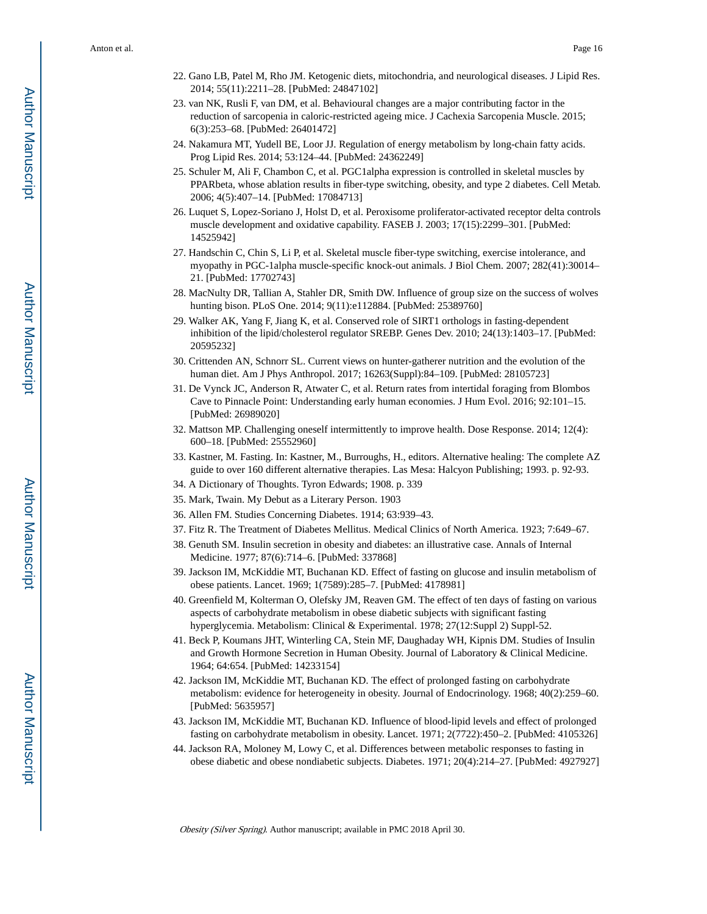- 22. Gano LB, Patel M, Rho JM. Ketogenic diets, mitochondria, and neurological diseases. J Lipid Res. 2014; 55(11):2211–28. [PubMed: 24847102]
- 23. van NK, Rusli F, van DM, et al. Behavioural changes are a major contributing factor in the reduction of sarcopenia in caloric-restricted ageing mice. J Cachexia Sarcopenia Muscle. 2015; 6(3):253–68. [PubMed: 26401472]
- 24. Nakamura MT, Yudell BE, Loor JJ. Regulation of energy metabolism by long-chain fatty acids. Prog Lipid Res. 2014; 53:124–44. [PubMed: 24362249]
- 25. Schuler M, Ali F, Chambon C, et al. PGC1alpha expression is controlled in skeletal muscles by PPARbeta, whose ablation results in fiber-type switching, obesity, and type 2 diabetes. Cell Metab. 2006; 4(5):407–14. [PubMed: 17084713]
- 26. Luquet S, Lopez-Soriano J, Holst D, et al. Peroxisome proliferator-activated receptor delta controls muscle development and oxidative capability. FASEB J. 2003; 17(15):2299–301. [PubMed: 14525942]
- 27. Handschin C, Chin S, Li P, et al. Skeletal muscle fiber-type switching, exercise intolerance, and myopathy in PGC-1alpha muscle-specific knock-out animals. J Biol Chem. 2007; 282(41):30014– 21. [PubMed: 17702743]
- 28. MacNulty DR, Tallian A, Stahler DR, Smith DW. Influence of group size on the success of wolves hunting bison. PLoS One. 2014; 9(11):e112884. [PubMed: 25389760]
- 29. Walker AK, Yang F, Jiang K, et al. Conserved role of SIRT1 orthologs in fasting-dependent inhibition of the lipid/cholesterol regulator SREBP. Genes Dev. 2010; 24(13):1403–17. [PubMed: 20595232]
- 30. Crittenden AN, Schnorr SL. Current views on hunter-gatherer nutrition and the evolution of the human diet. Am J Phys Anthropol. 2017; 16263(Suppl):84–109. [PubMed: 28105723]
- 31. De Vynck JC, Anderson R, Atwater C, et al. Return rates from intertidal foraging from Blombos Cave to Pinnacle Point: Understanding early human economies. J Hum Evol. 2016; 92:101–15. [PubMed: 26989020]
- 32. Mattson MP. Challenging oneself intermittently to improve health. Dose Response. 2014; 12(4): 600–18. [PubMed: 25552960]
- 33. Kastner, M. Fasting. In: Kastner, M., Burroughs, H., editors. Alternative healing: The complete AZ guide to over 160 different alternative therapies. Las Mesa: Halcyon Publishing; 1993. p. 92-93.
- 34. A Dictionary of Thoughts. Tyron Edwards; 1908. p. 339
- 35. Mark, Twain. My Debut as a Literary Person. 1903
- 36. Allen FM. Studies Concerning Diabetes. 1914; 63:939–43.
- 37. Fitz R. The Treatment of Diabetes Mellitus. Medical Clinics of North America. 1923; 7:649–67.
- 38. Genuth SM. Insulin secretion in obesity and diabetes: an illustrative case. Annals of Internal Medicine. 1977; 87(6):714–6. [PubMed: 337868]
- 39. Jackson IM, McKiddie MT, Buchanan KD. Effect of fasting on glucose and insulin metabolism of obese patients. Lancet. 1969; 1(7589):285–7. [PubMed: 4178981]
- 40. Greenfield M, Kolterman O, Olefsky JM, Reaven GM. The effect of ten days of fasting on various aspects of carbohydrate metabolism in obese diabetic subjects with significant fasting hyperglycemia. Metabolism: Clinical & Experimental. 1978; 27(12:Suppl 2) Suppl-52.
- 41. Beck P, Koumans JHT, Winterling CA, Stein MF, Daughaday WH, Kipnis DM. Studies of Insulin and Growth Hormone Secretion in Human Obesity. Journal of Laboratory & Clinical Medicine. 1964; 64:654. [PubMed: 14233154]
- 42. Jackson IM, McKiddie MT, Buchanan KD. The effect of prolonged fasting on carbohydrate metabolism: evidence for heterogeneity in obesity. Journal of Endocrinology. 1968; 40(2):259–60. [PubMed: 5635957]
- 43. Jackson IM, McKiddie MT, Buchanan KD. Influence of blood-lipid levels and effect of prolonged fasting on carbohydrate metabolism in obesity. Lancet. 1971; 2(7722):450–2. [PubMed: 4105326]
- 44. Jackson RA, Moloney M, Lowy C, et al. Differences between metabolic responses to fasting in obese diabetic and obese nondiabetic subjects. Diabetes. 1971; 20(4):214–27. [PubMed: 4927927]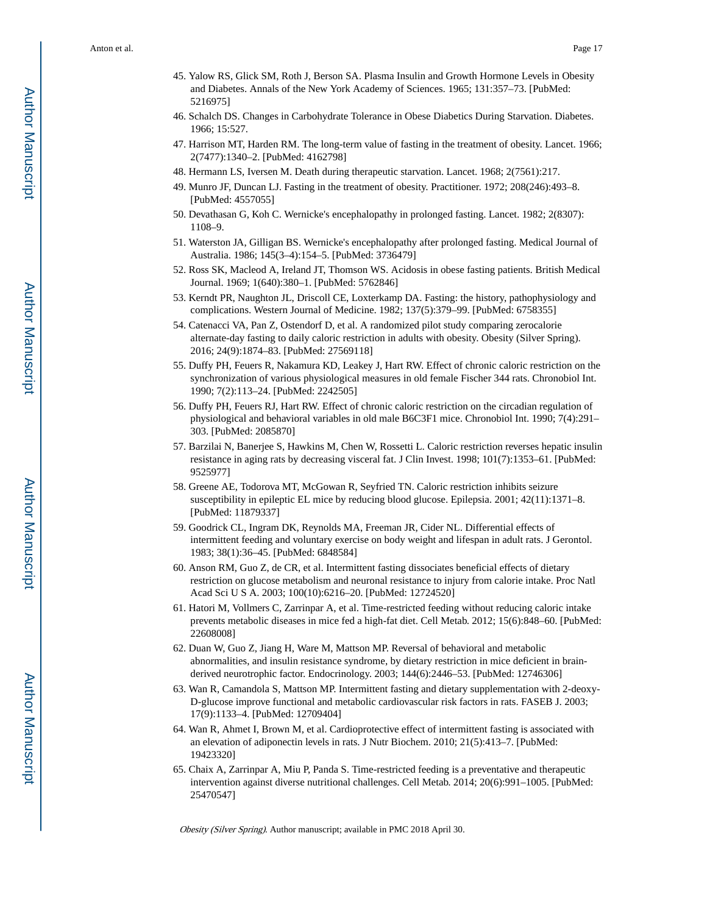- 45. Yalow RS, Glick SM, Roth J, Berson SA. Plasma Insulin and Growth Hormone Levels in Obesity and Diabetes. Annals of the New York Academy of Sciences. 1965; 131:357–73. [PubMed: 5216975]
- 46. Schalch DS. Changes in Carbohydrate Tolerance in Obese Diabetics During Starvation. Diabetes. 1966; 15:527.
- 47. Harrison MT, Harden RM. The long-term value of fasting in the treatment of obesity. Lancet. 1966; 2(7477):1340–2. [PubMed: 4162798]
- 48. Hermann LS, Iversen M. Death during therapeutic starvation. Lancet. 1968; 2(7561):217.
- 49. Munro JF, Duncan LJ. Fasting in the treatment of obesity. Practitioner. 1972; 208(246):493–8. [PubMed: 4557055]
- 50. Devathasan G, Koh C. Wernicke's encephalopathy in prolonged fasting. Lancet. 1982; 2(8307): 1108–9.
- 51. Waterston JA, Gilligan BS. Wernicke's encephalopathy after prolonged fasting. Medical Journal of Australia. 1986; 145(3–4):154–5. [PubMed: 3736479]
- 52. Ross SK, Macleod A, Ireland JT, Thomson WS. Acidosis in obese fasting patients. British Medical Journal. 1969; 1(640):380–1. [PubMed: 5762846]
- 53. Kerndt PR, Naughton JL, Driscoll CE, Loxterkamp DA. Fasting: the history, pathophysiology and complications. Western Journal of Medicine. 1982; 137(5):379–99. [PubMed: 6758355]
- 54. Catenacci VA, Pan Z, Ostendorf D, et al. A randomized pilot study comparing zerocalorie alternate-day fasting to daily caloric restriction in adults with obesity. Obesity (Silver Spring). 2016; 24(9):1874–83. [PubMed: 27569118]
- 55. Duffy PH, Feuers R, Nakamura KD, Leakey J, Hart RW. Effect of chronic caloric restriction on the synchronization of various physiological measures in old female Fischer 344 rats. Chronobiol Int. 1990; 7(2):113–24. [PubMed: 2242505]
- 56. Duffy PH, Feuers RJ, Hart RW. Effect of chronic caloric restriction on the circadian regulation of physiological and behavioral variables in old male B6C3F1 mice. Chronobiol Int. 1990; 7(4):291– 303. [PubMed: 2085870]
- 57. Barzilai N, Banerjee S, Hawkins M, Chen W, Rossetti L. Caloric restriction reverses hepatic insulin resistance in aging rats by decreasing visceral fat. J Clin Invest. 1998; 101(7):1353–61. [PubMed: 9525977]
- 58. Greene AE, Todorova MT, McGowan R, Seyfried TN. Caloric restriction inhibits seizure susceptibility in epileptic EL mice by reducing blood glucose. Epilepsia. 2001; 42(11):1371–8. [PubMed: 11879337]
- 59. Goodrick CL, Ingram DK, Reynolds MA, Freeman JR, Cider NL. Differential effects of intermittent feeding and voluntary exercise on body weight and lifespan in adult rats. J Gerontol. 1983; 38(1):36–45. [PubMed: 6848584]
- 60. Anson RM, Guo Z, de CR, et al. Intermittent fasting dissociates beneficial effects of dietary restriction on glucose metabolism and neuronal resistance to injury from calorie intake. Proc Natl Acad Sci U S A. 2003; 100(10):6216–20. [PubMed: 12724520]
- 61. Hatori M, Vollmers C, Zarrinpar A, et al. Time-restricted feeding without reducing caloric intake prevents metabolic diseases in mice fed a high-fat diet. Cell Metab. 2012; 15(6):848–60. [PubMed: 22608008]
- 62. Duan W, Guo Z, Jiang H, Ware M, Mattson MP. Reversal of behavioral and metabolic abnormalities, and insulin resistance syndrome, by dietary restriction in mice deficient in brainderived neurotrophic factor. Endocrinology. 2003; 144(6):2446–53. [PubMed: 12746306]
- 63. Wan R, Camandola S, Mattson MP. Intermittent fasting and dietary supplementation with 2-deoxy-D-glucose improve functional and metabolic cardiovascular risk factors in rats. FASEB J. 2003; 17(9):1133–4. [PubMed: 12709404]
- 64. Wan R, Ahmet I, Brown M, et al. Cardioprotective effect of intermittent fasting is associated with an elevation of adiponectin levels in rats. J Nutr Biochem. 2010; 21(5):413–7. [PubMed: 19423320]
- 65. Chaix A, Zarrinpar A, Miu P, Panda S. Time-restricted feeding is a preventative and therapeutic intervention against diverse nutritional challenges. Cell Metab. 2014; 20(6):991–1005. [PubMed: 25470547]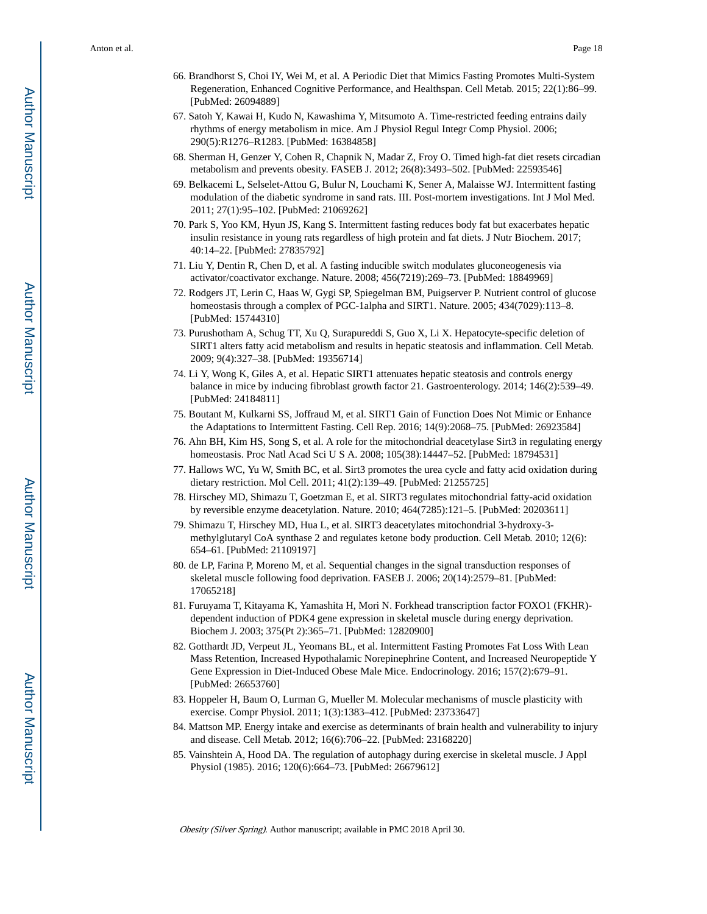- 66. Brandhorst S, Choi IY, Wei M, et al. A Periodic Diet that Mimics Fasting Promotes Multi-System Regeneration, Enhanced Cognitive Performance, and Healthspan. Cell Metab. 2015; 22(1):86–99. [PubMed: 26094889]
- 67. Satoh Y, Kawai H, Kudo N, Kawashima Y, Mitsumoto A. Time-restricted feeding entrains daily rhythms of energy metabolism in mice. Am J Physiol Regul Integr Comp Physiol. 2006; 290(5):R1276–R1283. [PubMed: 16384858]
- 68. Sherman H, Genzer Y, Cohen R, Chapnik N, Madar Z, Froy O. Timed high-fat diet resets circadian metabolism and prevents obesity. FASEB J. 2012; 26(8):3493–502. [PubMed: 22593546]
- 69. Belkacemi L, Selselet-Attou G, Bulur N, Louchami K, Sener A, Malaisse WJ. Intermittent fasting modulation of the diabetic syndrome in sand rats. III. Post-mortem investigations. Int J Mol Med. 2011; 27(1):95–102. [PubMed: 21069262]
- 70. Park S, Yoo KM, Hyun JS, Kang S. Intermittent fasting reduces body fat but exacerbates hepatic insulin resistance in young rats regardless of high protein and fat diets. J Nutr Biochem. 2017; 40:14–22. [PubMed: 27835792]
- 71. Liu Y, Dentin R, Chen D, et al. A fasting inducible switch modulates gluconeogenesis via activator/coactivator exchange. Nature. 2008; 456(7219):269–73. [PubMed: 18849969]
- 72. Rodgers JT, Lerin C, Haas W, Gygi SP, Spiegelman BM, Puigserver P. Nutrient control of glucose homeostasis through a complex of PGC-1alpha and SIRT1. Nature. 2005; 434(7029):113–8. [PubMed: 15744310]
- 73. Purushotham A, Schug TT, Xu Q, Surapureddi S, Guo X, Li X. Hepatocyte-specific deletion of SIRT1 alters fatty acid metabolism and results in hepatic steatosis and inflammation. Cell Metab. 2009; 9(4):327–38. [PubMed: 19356714]
- 74. Li Y, Wong K, Giles A, et al. Hepatic SIRT1 attenuates hepatic steatosis and controls energy balance in mice by inducing fibroblast growth factor 21. Gastroenterology. 2014; 146(2):539–49. [PubMed: 24184811]
- 75. Boutant M, Kulkarni SS, Joffraud M, et al. SIRT1 Gain of Function Does Not Mimic or Enhance the Adaptations to Intermittent Fasting. Cell Rep. 2016; 14(9):2068–75. [PubMed: 26923584]
- 76. Ahn BH, Kim HS, Song S, et al. A role for the mitochondrial deacetylase Sirt3 in regulating energy homeostasis. Proc Natl Acad Sci U S A. 2008; 105(38):14447–52. [PubMed: 18794531]
- 77. Hallows WC, Yu W, Smith BC, et al. Sirt3 promotes the urea cycle and fatty acid oxidation during dietary restriction. Mol Cell. 2011; 41(2):139–49. [PubMed: 21255725]
- 78. Hirschey MD, Shimazu T, Goetzman E, et al. SIRT3 regulates mitochondrial fatty-acid oxidation by reversible enzyme deacetylation. Nature. 2010; 464(7285):121–5. [PubMed: 20203611]
- 79. Shimazu T, Hirschey MD, Hua L, et al. SIRT3 deacetylates mitochondrial 3-hydroxy-3 methylglutaryl CoA synthase 2 and regulates ketone body production. Cell Metab. 2010; 12(6): 654–61. [PubMed: 21109197]
- 80. de LP, Farina P, Moreno M, et al. Sequential changes in the signal transduction responses of skeletal muscle following food deprivation. FASEB J. 2006; 20(14):2579–81. [PubMed: 17065218]
- 81. Furuyama T, Kitayama K, Yamashita H, Mori N. Forkhead transcription factor FOXO1 (FKHR) dependent induction of PDK4 gene expression in skeletal muscle during energy deprivation. Biochem J. 2003; 375(Pt 2):365–71. [PubMed: 12820900]
- 82. Gotthardt JD, Verpeut JL, Yeomans BL, et al. Intermittent Fasting Promotes Fat Loss With Lean Mass Retention, Increased Hypothalamic Norepinephrine Content, and Increased Neuropeptide Y Gene Expression in Diet-Induced Obese Male Mice. Endocrinology. 2016; 157(2):679–91. [PubMed: 26653760]
- 83. Hoppeler H, Baum O, Lurman G, Mueller M. Molecular mechanisms of muscle plasticity with exercise. Compr Physiol. 2011; 1(3):1383–412. [PubMed: 23733647]
- 84. Mattson MP. Energy intake and exercise as determinants of brain health and vulnerability to injury and disease. Cell Metab. 2012; 16(6):706–22. [PubMed: 23168220]
- 85. Vainshtein A, Hood DA. The regulation of autophagy during exercise in skeletal muscle. J Appl Physiol (1985). 2016; 120(6):664–73. [PubMed: 26679612]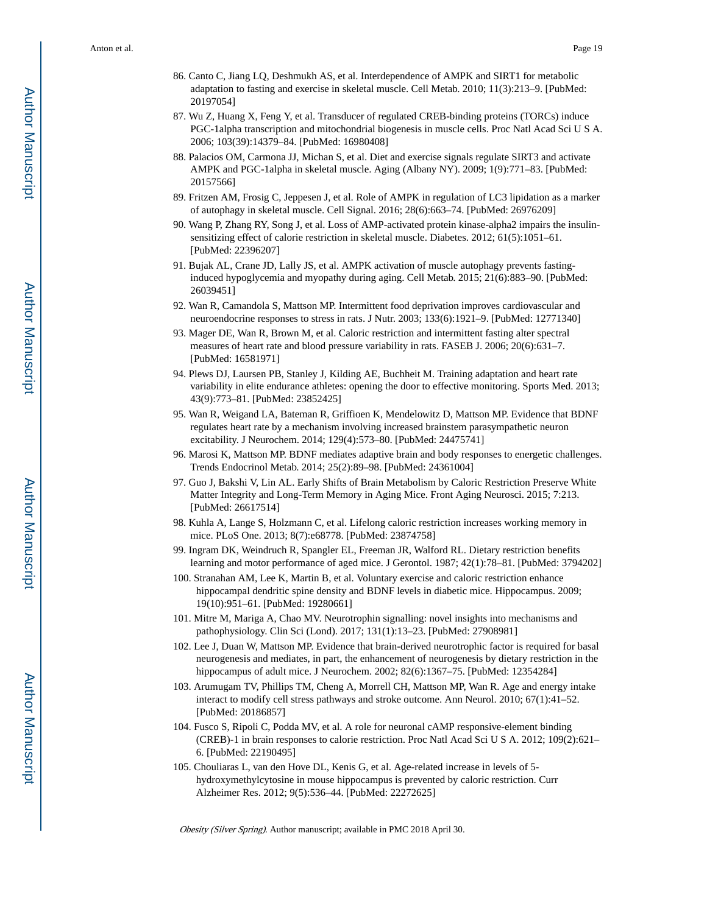- 86. Canto C, Jiang LQ, Deshmukh AS, et al. Interdependence of AMPK and SIRT1 for metabolic adaptation to fasting and exercise in skeletal muscle. Cell Metab. 2010; 11(3):213–9. [PubMed: 20197054]
- 87. Wu Z, Huang X, Feng Y, et al. Transducer of regulated CREB-binding proteins (TORCs) induce PGC-1alpha transcription and mitochondrial biogenesis in muscle cells. Proc Natl Acad Sci U S A. 2006; 103(39):14379–84. [PubMed: 16980408]
- 88. Palacios OM, Carmona JJ, Michan S, et al. Diet and exercise signals regulate SIRT3 and activate AMPK and PGC-1alpha in skeletal muscle. Aging (Albany NY). 2009; 1(9):771–83. [PubMed: 20157566]
- 89. Fritzen AM, Frosig C, Jeppesen J, et al. Role of AMPK in regulation of LC3 lipidation as a marker of autophagy in skeletal muscle. Cell Signal. 2016; 28(6):663–74. [PubMed: 26976209]
- 90. Wang P, Zhang RY, Song J, et al. Loss of AMP-activated protein kinase-alpha2 impairs the insulinsensitizing effect of calorie restriction in skeletal muscle. Diabetes. 2012; 61(5):1051–61. [PubMed: 22396207]
- 91. Bujak AL, Crane JD, Lally JS, et al. AMPK activation of muscle autophagy prevents fastinginduced hypoglycemia and myopathy during aging. Cell Metab. 2015; 21(6):883–90. [PubMed: 26039451]
- 92. Wan R, Camandola S, Mattson MP. Intermittent food deprivation improves cardiovascular and neuroendocrine responses to stress in rats. J Nutr. 2003; 133(6):1921–9. [PubMed: 12771340]
- 93. Mager DE, Wan R, Brown M, et al. Caloric restriction and intermittent fasting alter spectral measures of heart rate and blood pressure variability in rats. FASEB J. 2006; 20(6):631–7. [PubMed: 16581971]
- 94. Plews DJ, Laursen PB, Stanley J, Kilding AE, Buchheit M. Training adaptation and heart rate variability in elite endurance athletes: opening the door to effective monitoring. Sports Med. 2013; 43(9):773–81. [PubMed: 23852425]
- 95. Wan R, Weigand LA, Bateman R, Griffioen K, Mendelowitz D, Mattson MP. Evidence that BDNF regulates heart rate by a mechanism involving increased brainstem parasympathetic neuron excitability. J Neurochem. 2014; 129(4):573–80. [PubMed: 24475741]
- 96. Marosi K, Mattson MP. BDNF mediates adaptive brain and body responses to energetic challenges. Trends Endocrinol Metab. 2014; 25(2):89–98. [PubMed: 24361004]
- 97. Guo J, Bakshi V, Lin AL. Early Shifts of Brain Metabolism by Caloric Restriction Preserve White Matter Integrity and Long-Term Memory in Aging Mice. Front Aging Neurosci. 2015; 7:213. [PubMed: 26617514]
- 98. Kuhla A, Lange S, Holzmann C, et al. Lifelong caloric restriction increases working memory in mice. PLoS One. 2013; 8(7):e68778. [PubMed: 23874758]
- 99. Ingram DK, Weindruch R, Spangler EL, Freeman JR, Walford RL. Dietary restriction benefits learning and motor performance of aged mice. J Gerontol. 1987; 42(1):78–81. [PubMed: 3794202]
- 100. Stranahan AM, Lee K, Martin B, et al. Voluntary exercise and caloric restriction enhance hippocampal dendritic spine density and BDNF levels in diabetic mice. Hippocampus. 2009; 19(10):951–61. [PubMed: 19280661]
- 101. Mitre M, Mariga A, Chao MV. Neurotrophin signalling: novel insights into mechanisms and pathophysiology. Clin Sci (Lond). 2017; 131(1):13–23. [PubMed: 27908981]
- 102. Lee J, Duan W, Mattson MP. Evidence that brain-derived neurotrophic factor is required for basal neurogenesis and mediates, in part, the enhancement of neurogenesis by dietary restriction in the hippocampus of adult mice. J Neurochem. 2002; 82(6):1367–75. [PubMed: 12354284]
- 103. Arumugam TV, Phillips TM, Cheng A, Morrell CH, Mattson MP, Wan R. Age and energy intake interact to modify cell stress pathways and stroke outcome. Ann Neurol. 2010; 67(1):41–52. [PubMed: 20186857]
- 104. Fusco S, Ripoli C, Podda MV, et al. A role for neuronal cAMP responsive-element binding (CREB)-1 in brain responses to calorie restriction. Proc Natl Acad Sci U S A. 2012; 109(2):621– 6. [PubMed: 22190495]
- 105. Chouliaras L, van den Hove DL, Kenis G, et al. Age-related increase in levels of 5 hydroxymethylcytosine in mouse hippocampus is prevented by caloric restriction. Curr Alzheimer Res. 2012; 9(5):536–44. [PubMed: 22272625]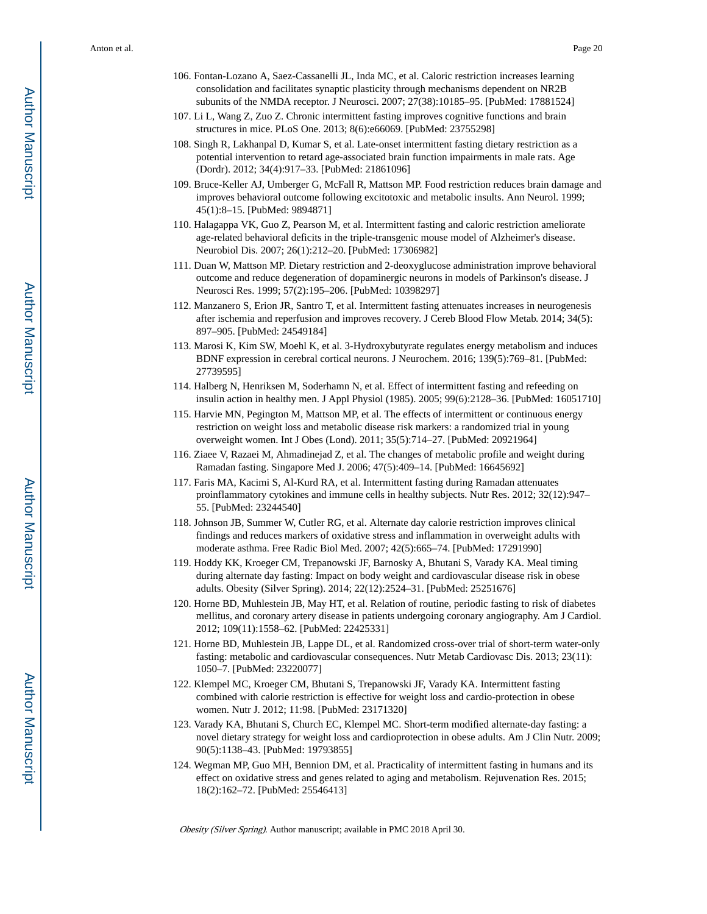- 106. Fontan-Lozano A, Saez-Cassanelli JL, Inda MC, et al. Caloric restriction increases learning consolidation and facilitates synaptic plasticity through mechanisms dependent on NR2B subunits of the NMDA receptor. J Neurosci. 2007; 27(38):10185–95. [PubMed: 17881524]
- 107. Li L, Wang Z, Zuo Z. Chronic intermittent fasting improves cognitive functions and brain structures in mice. PLoS One. 2013; 8(6):e66069. [PubMed: 23755298]
- 108. Singh R, Lakhanpal D, Kumar S, et al. Late-onset intermittent fasting dietary restriction as a potential intervention to retard age-associated brain function impairments in male rats. Age (Dordr). 2012; 34(4):917–33. [PubMed: 21861096]
- 109. Bruce-Keller AJ, Umberger G, McFall R, Mattson MP. Food restriction reduces brain damage and improves behavioral outcome following excitotoxic and metabolic insults. Ann Neurol. 1999; 45(1):8–15. [PubMed: 9894871]
- 110. Halagappa VK, Guo Z, Pearson M, et al. Intermittent fasting and caloric restriction ameliorate age-related behavioral deficits in the triple-transgenic mouse model of Alzheimer's disease. Neurobiol Dis. 2007; 26(1):212–20. [PubMed: 17306982]
- 111. Duan W, Mattson MP. Dietary restriction and 2-deoxyglucose administration improve behavioral outcome and reduce degeneration of dopaminergic neurons in models of Parkinson's disease. J Neurosci Res. 1999; 57(2):195–206. [PubMed: 10398297]
- 112. Manzanero S, Erion JR, Santro T, et al. Intermittent fasting attenuates increases in neurogenesis after ischemia and reperfusion and improves recovery. J Cereb Blood Flow Metab. 2014; 34(5): 897–905. [PubMed: 24549184]
- 113. Marosi K, Kim SW, Moehl K, et al. 3-Hydroxybutyrate regulates energy metabolism and induces BDNF expression in cerebral cortical neurons. J Neurochem. 2016; 139(5):769–81. [PubMed: 27739595]
- 114. Halberg N, Henriksen M, Soderhamn N, et al. Effect of intermittent fasting and refeeding on insulin action in healthy men. J Appl Physiol (1985). 2005; 99(6):2128–36. [PubMed: 16051710]
- 115. Harvie MN, Pegington M, Mattson MP, et al. The effects of intermittent or continuous energy restriction on weight loss and metabolic disease risk markers: a randomized trial in young overweight women. Int J Obes (Lond). 2011; 35(5):714–27. [PubMed: 20921964]
- 116. Ziaee V, Razaei M, Ahmadinejad Z, et al. The changes of metabolic profile and weight during Ramadan fasting. Singapore Med J. 2006; 47(5):409–14. [PubMed: 16645692]
- 117. Faris MA, Kacimi S, Al-Kurd RA, et al. Intermittent fasting during Ramadan attenuates proinflammatory cytokines and immune cells in healthy subjects. Nutr Res. 2012; 32(12):947– 55. [PubMed: 23244540]
- 118. Johnson JB, Summer W, Cutler RG, et al. Alternate day calorie restriction improves clinical findings and reduces markers of oxidative stress and inflammation in overweight adults with moderate asthma. Free Radic Biol Med. 2007; 42(5):665–74. [PubMed: 17291990]
- 119. Hoddy KK, Kroeger CM, Trepanowski JF, Barnosky A, Bhutani S, Varady KA. Meal timing during alternate day fasting: Impact on body weight and cardiovascular disease risk in obese adults. Obesity (Silver Spring). 2014; 22(12):2524–31. [PubMed: 25251676]
- 120. Horne BD, Muhlestein JB, May HT, et al. Relation of routine, periodic fasting to risk of diabetes mellitus, and coronary artery disease in patients undergoing coronary angiography. Am J Cardiol. 2012; 109(11):1558–62. [PubMed: 22425331]
- 121. Horne BD, Muhlestein JB, Lappe DL, et al. Randomized cross-over trial of short-term water-only fasting: metabolic and cardiovascular consequences. Nutr Metab Cardiovasc Dis. 2013; 23(11): 1050–7. [PubMed: 23220077]
- 122. Klempel MC, Kroeger CM, Bhutani S, Trepanowski JF, Varady KA. Intermittent fasting combined with calorie restriction is effective for weight loss and cardio-protection in obese women. Nutr J. 2012; 11:98. [PubMed: 23171320]
- 123. Varady KA, Bhutani S, Church EC, Klempel MC. Short-term modified alternate-day fasting: a novel dietary strategy for weight loss and cardioprotection in obese adults. Am J Clin Nutr. 2009; 90(5):1138–43. [PubMed: 19793855]
- 124. Wegman MP, Guo MH, Bennion DM, et al. Practicality of intermittent fasting in humans and its effect on oxidative stress and genes related to aging and metabolism. Rejuvenation Res. 2015; 18(2):162–72. [PubMed: 25546413]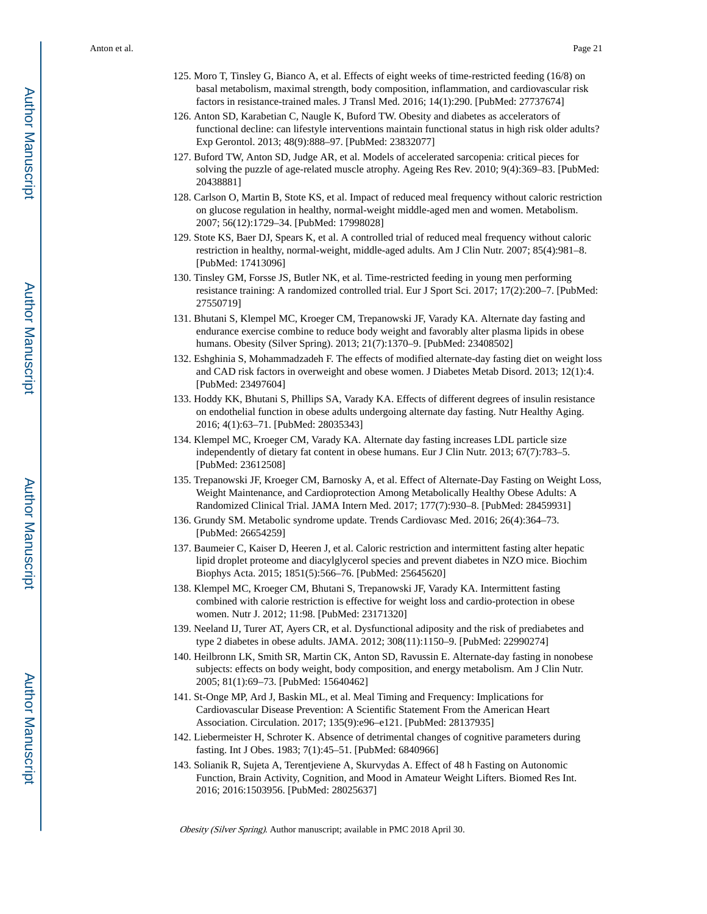- 125. Moro T, Tinsley G, Bianco A, et al. Effects of eight weeks of time-restricted feeding (16/8) on basal metabolism, maximal strength, body composition, inflammation, and cardiovascular risk factors in resistance-trained males. J Transl Med. 2016; 14(1):290. [PubMed: 27737674]
- 126. Anton SD, Karabetian C, Naugle K, Buford TW. Obesity and diabetes as accelerators of functional decline: can lifestyle interventions maintain functional status in high risk older adults? Exp Gerontol. 2013; 48(9):888–97. [PubMed: 23832077]
- 127. Buford TW, Anton SD, Judge AR, et al. Models of accelerated sarcopenia: critical pieces for solving the puzzle of age-related muscle atrophy. Ageing Res Rev. 2010; 9(4):369–83. [PubMed: 20438881]
- 128. Carlson O, Martin B, Stote KS, et al. Impact of reduced meal frequency without caloric restriction on glucose regulation in healthy, normal-weight middle-aged men and women. Metabolism. 2007; 56(12):1729–34. [PubMed: 17998028]
- 129. Stote KS, Baer DJ, Spears K, et al. A controlled trial of reduced meal frequency without caloric restriction in healthy, normal-weight, middle-aged adults. Am J Clin Nutr. 2007; 85(4):981–8. [PubMed: 17413096]
- 130. Tinsley GM, Forsse JS, Butler NK, et al. Time-restricted feeding in young men performing resistance training: A randomized controlled trial. Eur J Sport Sci. 2017; 17(2):200–7. [PubMed: 27550719]
- 131. Bhutani S, Klempel MC, Kroeger CM, Trepanowski JF, Varady KA. Alternate day fasting and endurance exercise combine to reduce body weight and favorably alter plasma lipids in obese humans. Obesity (Silver Spring). 2013; 21(7):1370–9. [PubMed: 23408502]
- 132. Eshghinia S, Mohammadzadeh F. The effects of modified alternate-day fasting diet on weight loss and CAD risk factors in overweight and obese women. J Diabetes Metab Disord. 2013; 12(1):4. [PubMed: 23497604]
- 133. Hoddy KK, Bhutani S, Phillips SA, Varady KA. Effects of different degrees of insulin resistance on endothelial function in obese adults undergoing alternate day fasting. Nutr Healthy Aging. 2016; 4(1):63–71. [PubMed: 28035343]
- 134. Klempel MC, Kroeger CM, Varady KA. Alternate day fasting increases LDL particle size independently of dietary fat content in obese humans. Eur J Clin Nutr. 2013; 67(7):783–5. [PubMed: 23612508]
- 135. Trepanowski JF, Kroeger CM, Barnosky A, et al. Effect of Alternate-Day Fasting on Weight Loss, Weight Maintenance, and Cardioprotection Among Metabolically Healthy Obese Adults: A Randomized Clinical Trial. JAMA Intern Med. 2017; 177(7):930–8. [PubMed: 28459931]
- 136. Grundy SM. Metabolic syndrome update. Trends Cardiovasc Med. 2016; 26(4):364–73. [PubMed: 26654259]
- 137. Baumeier C, Kaiser D, Heeren J, et al. Caloric restriction and intermittent fasting alter hepatic lipid droplet proteome and diacylglycerol species and prevent diabetes in NZO mice. Biochim Biophys Acta. 2015; 1851(5):566–76. [PubMed: 25645620]
- 138. Klempel MC, Kroeger CM, Bhutani S, Trepanowski JF, Varady KA. Intermittent fasting combined with calorie restriction is effective for weight loss and cardio-protection in obese women. Nutr J. 2012; 11:98. [PubMed: 23171320]
- 139. Neeland IJ, Turer AT, Ayers CR, et al. Dysfunctional adiposity and the risk of prediabetes and type 2 diabetes in obese adults. JAMA. 2012; 308(11):1150–9. [PubMed: 22990274]
- 140. Heilbronn LK, Smith SR, Martin CK, Anton SD, Ravussin E. Alternate-day fasting in nonobese subjects: effects on body weight, body composition, and energy metabolism. Am J Clin Nutr. 2005; 81(1):69–73. [PubMed: 15640462]
- 141. St-Onge MP, Ard J, Baskin ML, et al. Meal Timing and Frequency: Implications for Cardiovascular Disease Prevention: A Scientific Statement From the American Heart Association. Circulation. 2017; 135(9):e96–e121. [PubMed: 28137935]
- 142. Liebermeister H, Schroter K. Absence of detrimental changes of cognitive parameters during fasting. Int J Obes. 1983; 7(1):45–51. [PubMed: 6840966]
- 143. Solianik R, Sujeta A, Terentjeviene A, Skurvydas A. Effect of 48 h Fasting on Autonomic Function, Brain Activity, Cognition, and Mood in Amateur Weight Lifters. Biomed Res Int. 2016; 2016:1503956. [PubMed: 28025637]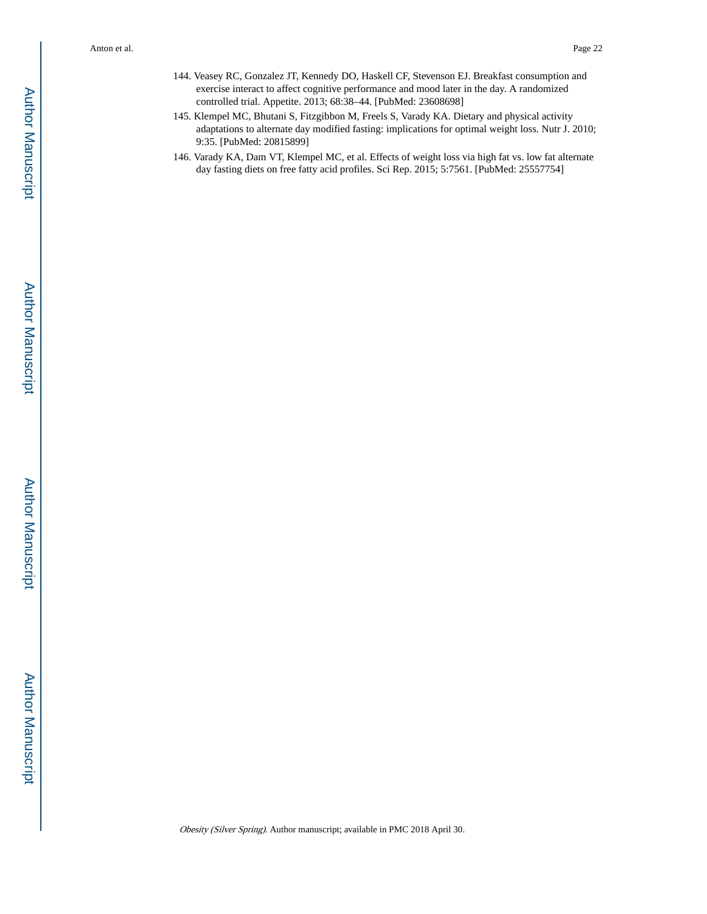- 144. Veasey RC, Gonzalez JT, Kennedy DO, Haskell CF, Stevenson EJ. Breakfast consumption and exercise interact to affect cognitive performance and mood later in the day. A randomized controlled trial. Appetite. 2013; 68:38–44. [PubMed: 23608698]
- 145. Klempel MC, Bhutani S, Fitzgibbon M, Freels S, Varady KA. Dietary and physical activity adaptations to alternate day modified fasting: implications for optimal weight loss. Nutr J. 2010; 9:35. [PubMed: 20815899]
- 146. Varady KA, Dam VT, Klempel MC, et al. Effects of weight loss via high fat vs. low fat alternate day fasting diets on free fatty acid profiles. Sci Rep. 2015; 5:7561. [PubMed: 25557754]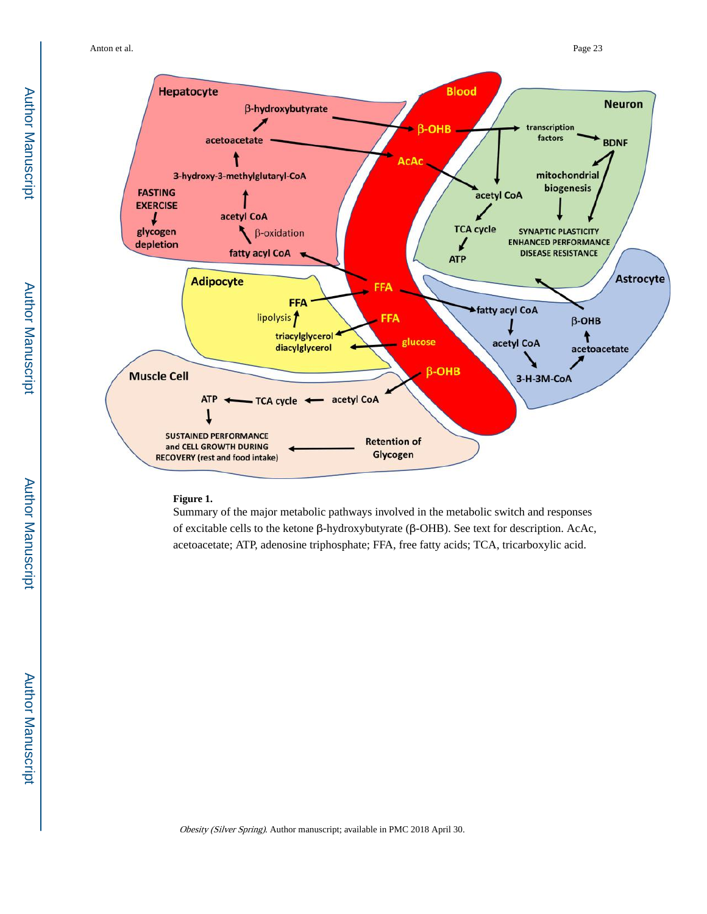

#### **Figure 1.**

Summary of the major metabolic pathways involved in the metabolic switch and responses of excitable cells to the ketone β-hydroxybutyrate (β-OHB). See text for description. AcAc, acetoacetate; ATP, adenosine triphosphate; FFA, free fatty acids; TCA, tricarboxylic acid.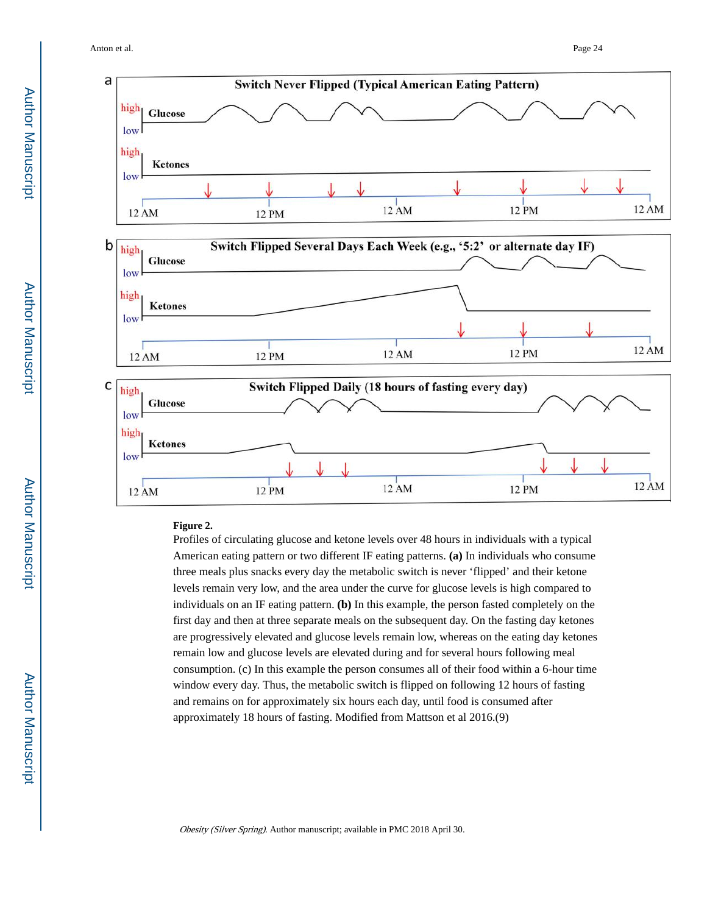



#### **Figure 2.**

Profiles of circulating glucose and ketone levels over 48 hours in individuals with a typical American eating pattern or two different IF eating patterns. **(a)** In individuals who consume three meals plus snacks every day the metabolic switch is never 'flipped' and their ketone levels remain very low, and the area under the curve for glucose levels is high compared to individuals on an IF eating pattern. **(b)** In this example, the person fasted completely on the first day and then at three separate meals on the subsequent day. On the fasting day ketones are progressively elevated and glucose levels remain low, whereas on the eating day ketones remain low and glucose levels are elevated during and for several hours following meal consumption. (c) In this example the person consumes all of their food within a 6-hour time window every day. Thus, the metabolic switch is flipped on following 12 hours of fasting and remains on for approximately six hours each day, until food is consumed after approximately 18 hours of fasting. Modified from Mattson et al 2016.(9)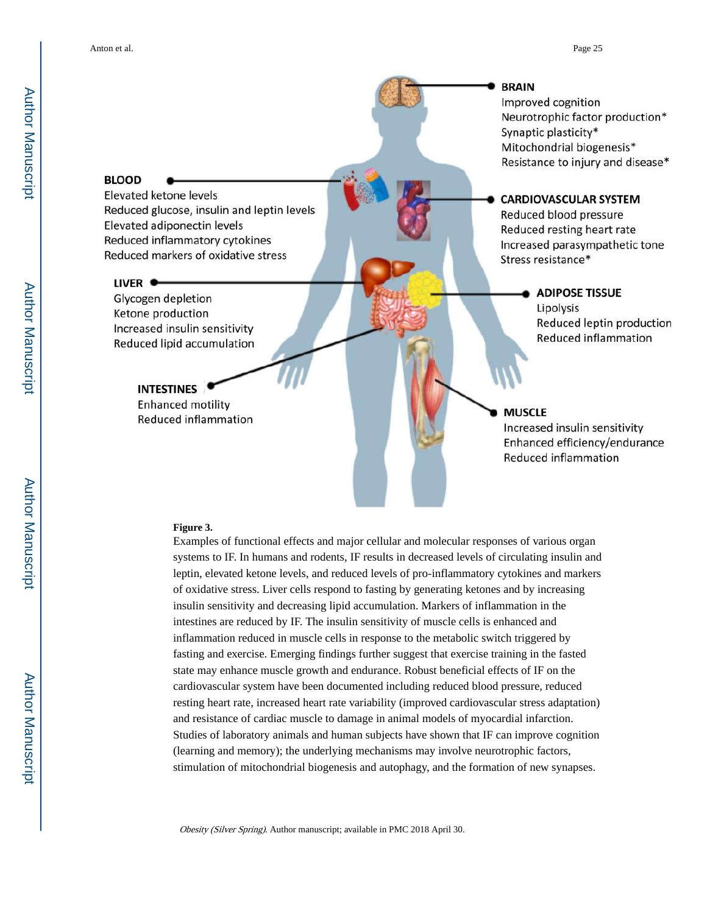#### **BLOOD**

Elevated ketone levels Reduced glucose, insulin and leptin levels Elevated adiponectin levels Reduced inflammatory cytokines Reduced markers of oxidative stress

#### LIVER  $\bullet$

Glycogen depletion Ketone production Increased insulin sensitivity Reduced lipid accumulation

### **INTESTINES**

**Enhanced motility Reduced inflammation** 

#### **BRAIN**

Improved cognition Neurotrophic factor production\* Synaptic plasticity\* Mitochondrial biogenesis\* Resistance to injury and disease\*

#### **CARDIOVASCULAR SYSTEM**

Reduced blood pressure Reduced resting heart rate Increased parasympathetic tone Stress resistance\*

#### ADIPOSE TISSUE

Lipolysis Reduced leptin production **Reduced inflammation** 

#### **MUSCLE**

Increased insulin sensitivity Enhanced efficiency/endurance **Reduced inflammation** 

#### **Figure 3.**

Examples of functional effects and major cellular and molecular responses of various organ systems to IF. In humans and rodents, IF results in decreased levels of circulating insulin and leptin, elevated ketone levels, and reduced levels of pro-inflammatory cytokines and markers of oxidative stress. Liver cells respond to fasting by generating ketones and by increasing insulin sensitivity and decreasing lipid accumulation. Markers of inflammation in the intestines are reduced by IF. The insulin sensitivity of muscle cells is enhanced and inflammation reduced in muscle cells in response to the metabolic switch triggered by fasting and exercise. Emerging findings further suggest that exercise training in the fasted state may enhance muscle growth and endurance. Robust beneficial effects of IF on the cardiovascular system have been documented including reduced blood pressure, reduced resting heart rate, increased heart rate variability (improved cardiovascular stress adaptation) and resistance of cardiac muscle to damage in animal models of myocardial infarction. Studies of laboratory animals and human subjects have shown that IF can improve cognition (learning and memory); the underlying mechanisms may involve neurotrophic factors, stimulation of mitochondrial biogenesis and autophagy, and the formation of new synapses.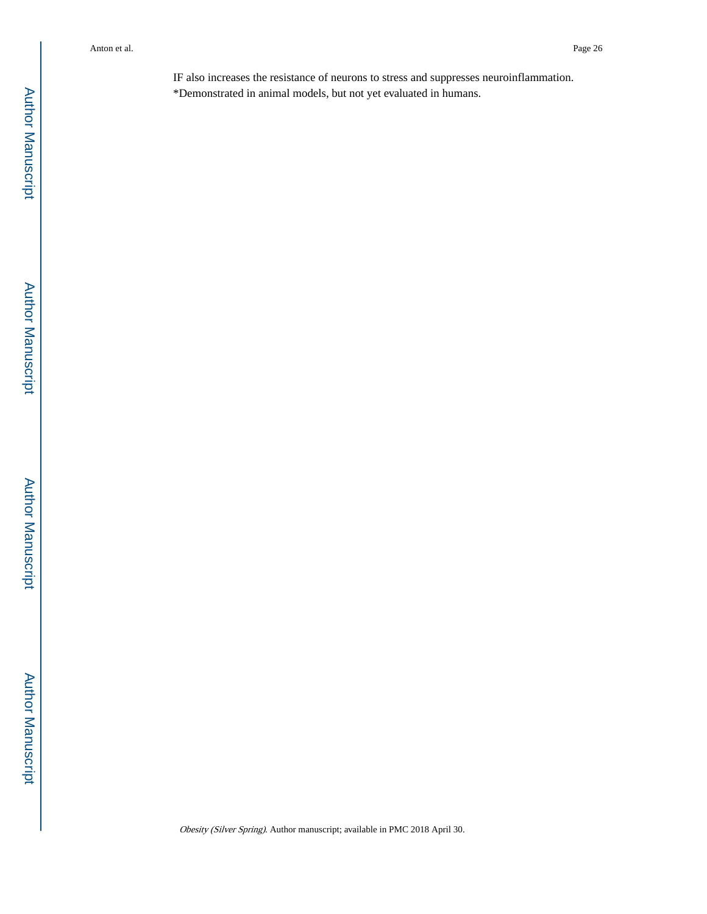IF also increases the resistance of neurons to stress and suppresses neuroinflammation. \*Demonstrated in animal models, but not yet evaluated in humans.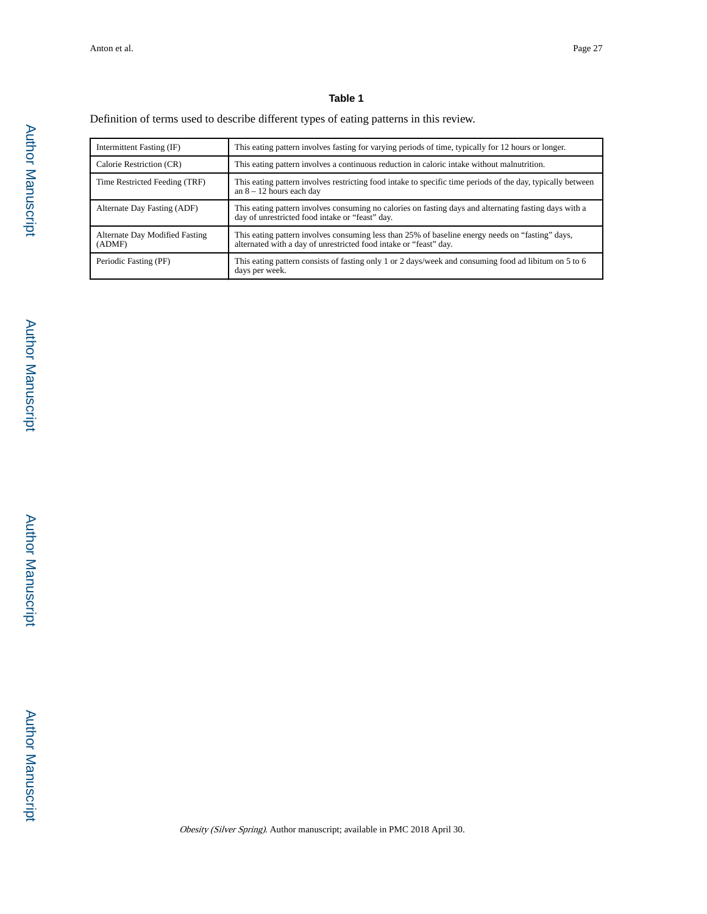#### **Table 1**

#### Definition of terms used to describe different types of eating patterns in this review.

| Intermittent Fasting (IF)                | This eating pattern involves fasting for varying periods of time, typically for 12 hours or longer.                                                                   |
|------------------------------------------|-----------------------------------------------------------------------------------------------------------------------------------------------------------------------|
| Calorie Restriction (CR)                 | This eating pattern involves a continuous reduction in caloric intake without malnutrition.                                                                           |
| Time Restricted Feeding (TRF)            | This eating pattern involves restricting food intake to specific time periods of the day, typically between<br>an $8 - 12$ hours each day                             |
| Alternate Day Fasting (ADF)              | This eating pattern involves consuming no calories on fasting days and alternating fasting days with a<br>day of unrestricted food intake or "feast" day.             |
| Alternate Day Modified Fasting<br>(ADMF) | This eating pattern involves consuming less than 25% of baseline energy needs on "fasting" days,<br>alternated with a day of unrestricted food intake or "feast" day. |
| Periodic Fasting (PF)                    | This eating pattern consists of fasting only 1 or 2 days/week and consuming food ad libitum on 5 to 6<br>days per week.                                               |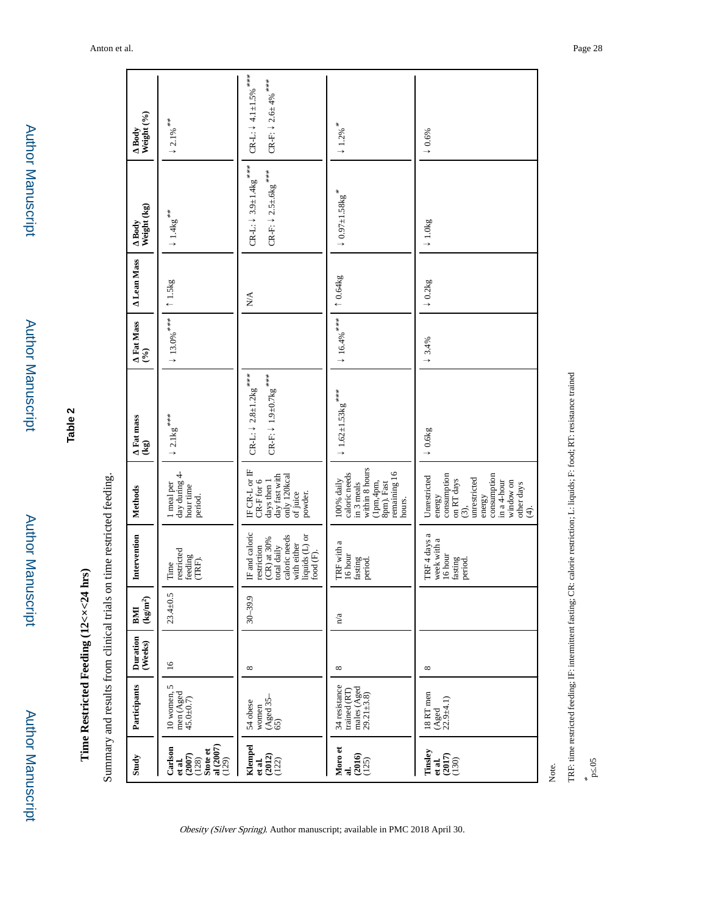| Study                                                                        | Participants                                                     | Duration<br>(Weeks) | $\left({\rm kg/m^2}\right)$<br>BMI | Intervention                                                                                                               | <b>Methods</b>                                                                                                                                            | Fat mass<br>$\left(\text{kg}\right)$                                                                                    | Fat Mass<br>$(9/6)$         | <b>Lean Mass</b>           | Weight (kg)<br>Body                                                                  | Body<br>Weight (%)                                                               |
|------------------------------------------------------------------------------|------------------------------------------------------------------|---------------------|------------------------------------|----------------------------------------------------------------------------------------------------------------------------|-----------------------------------------------------------------------------------------------------------------------------------------------------------|-------------------------------------------------------------------------------------------------------------------------|-----------------------------|----------------------------|--------------------------------------------------------------------------------------|----------------------------------------------------------------------------------|
| Stote et<br>al (2007)<br>$(129)$<br>Carlson<br>$(2007)$<br>$(128)$<br>et al. | $10$ women, $5$<br>men (Aged<br>45.0 $\pm$ 0.7)                  | $\overline{16}$     | $23.4 \pm 0.5$                     | restricted<br>feeding<br>(TRF).<br>Time                                                                                    | day during 4-<br>1 meal per<br>hour time<br>period.                                                                                                       | $\downarrow$ 2.1<br>kg $^{***}$                                                                                         | $\downarrow$ 13.0% $^{***}$ | $\uparrow$ 1.5 $\text{kg}$ | $\downarrow$ 1.4<br>kg $^{**}$                                                       | $\downarrow$ 2.1% $^{**}$                                                        |
| <b>Klempel</b><br>et al.<br>(2012)<br>$(122)$                                | women<br>(Aged 35– $(5)$<br>54 obese                             | $^{\circ}$          | $30 - 39.9$                        | IF and caloric<br>liquids (L) or<br>caloric needs<br>(CR) at 30%<br>with either<br>total daily<br>restriction<br>food (F). | IF CR-L or IF<br>day fast with<br>only 120kcal<br>CR-F for 6<br>days then 1<br>of juice<br>powder.                                                        | $\text{CR-F:} \downarrow$ 1.9±0.7<br>kg $^{***}$<br>$\text{CR-L:} \downarrow 2.8 \text{\texttt{\pm}} 1.2 \text{kg}$ *** |                             | N/A                        | CR-L: $\downarrow$ 3.9 $\pm$ 1.4kg <sup>***</sup><br>CR-F: $\downarrow$ 2.5±.6kg *** | CR-L: $\downarrow$ 4.1 $\pm$ 1.5% ***<br>CR-F: $\downarrow$ 2.6<br>± 4% $^{***}$ |
| Moro et<br>al.<br>$(2016)$<br>$(125)$                                        | 34 resistance<br>males (Aged<br>29.21 $\pm$ 3.8)<br>trained (RT) | ${}^{\circ}$        | n/a                                | TRF with a<br>16 hour<br>fasting<br>period.                                                                                | within 8 hours<br>remaining 16<br>caloric needs<br>100% daily<br>in 3 meals<br>$(1pm,4pm,$<br>Spm). Fast<br>hours.                                        | $\downarrow$ 1.62±1.53kg ***                                                                                            | $\downarrow$ 16.4%          | $\uparrow$ 0.64 $kg$       | $\downarrow$ 0.97 $\pm$ 1.58kg <sup>*</sup>                                          | $\downarrow$ 1.2% $^{*}$                                                         |
| Tinsley<br>et al.<br>(2017)<br>$(130)$                                       | 18 RT men<br>(Aged<br>22.9±4.1)                                  | ${}^{\circ}$        |                                    | TRF 4 days a<br>week with a<br>16 hour<br>fasting<br>period.                                                               | consumption<br>consumption<br>Unrestricted<br>unrestricted<br>on RT days<br>in a 4-hour<br>window on<br>other days<br>energy<br>energy<br>(3)<br>$\oplus$ | $\downarrow 0.6\text{kg}$                                                                                               | $\downarrow$ 3.4%           | $\downarrow 0.2$ kg        | $\downarrow 1.0\text{kg}$                                                            | $\downarrow 0.6\%$                                                               |

Note.

\* p≤.05

TRF: time restricted feeding; IF: intermittent fasting; CR: calorie restriction; L: liquids; F: food; RT: resistance trained TRF: time restricted feeding; IF: intermittent fasting; CR: calorie restriction; L: liquids; F: food; RT: resistance trained

Author Manuscript Author Manuscript

 Author Manuscript**Author Manuscript** 

**Table 2**

**Time Restricted Feeding (12<×<24 hrs)**

Time Restricted Feeding (12<x<24 hrs)

Summary and results from clinical trials on time restricted feeding.

Summary and results from clinical trials on time restricted feeding.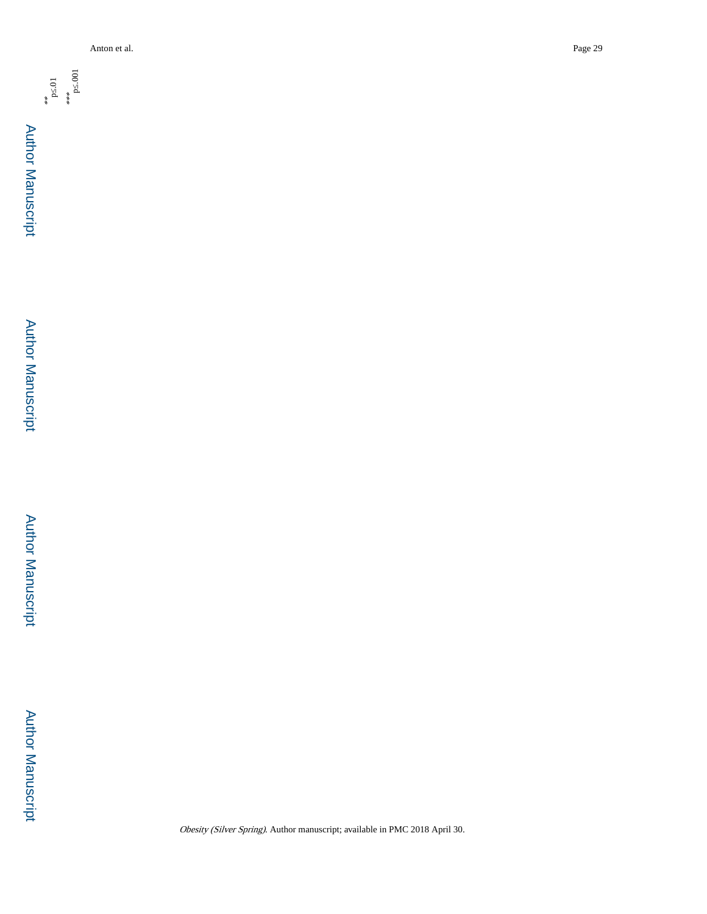

Author Manuscript

Author Manuscript

\*\* p≤.01 \*\*\* p≤.001

Author Manuscript

Author Manuscript

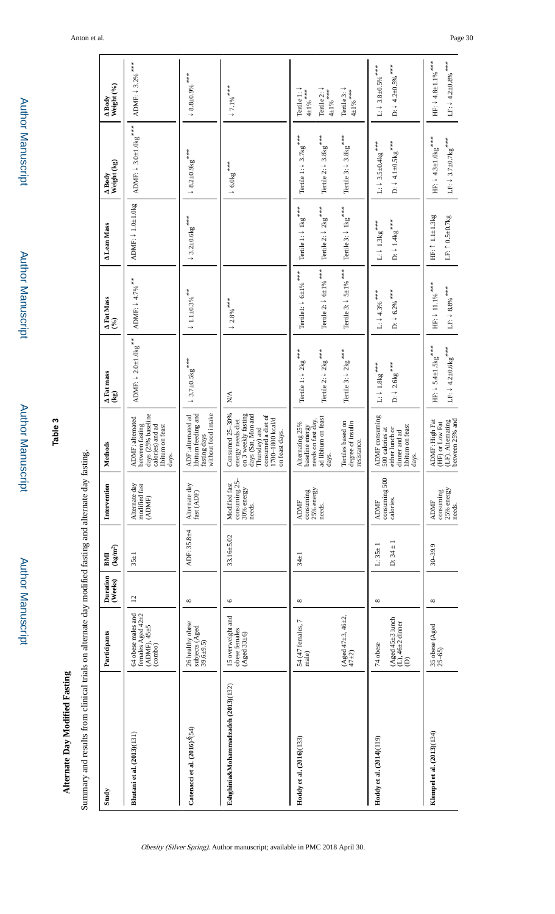| Summary and results from clinical trials on alternate day modified fasting and alternate day fas |                                                                                              |                     |                                |                                                                                                     | sting.                                                                                                                                                         |                                                                                                                      |                                                                                                                   |                                                                                                                      |                                                                                                                                    |                                                                                                                              |
|--------------------------------------------------------------------------------------------------|----------------------------------------------------------------------------------------------|---------------------|--------------------------------|-----------------------------------------------------------------------------------------------------|----------------------------------------------------------------------------------------------------------------------------------------------------------------|----------------------------------------------------------------------------------------------------------------------|-------------------------------------------------------------------------------------------------------------------|----------------------------------------------------------------------------------------------------------------------|------------------------------------------------------------------------------------------------------------------------------------|------------------------------------------------------------------------------------------------------------------------------|
| Study                                                                                            | Participants                                                                                 | Duration<br>(Weeks) | $\rm(kg/m^2)$<br>BMI           | Intervention                                                                                        | Methods                                                                                                                                                        | Fat mass<br>$\left( \mathbf{kg}\right)$                                                                              | Fat Mass<br>$(96)$                                                                                                | <b>Lean Mass</b>                                                                                                     | Weight (kg)<br>Body                                                                                                                | Weight (%)<br>Body                                                                                                           |
| Bhutani et al. (2013)(131)                                                                       | $64$ obese males and<br>females Aged $42\pm2$<br>$(ADMF), 45 \pm 5$<br>(combo)               | $\overline{c}$      | $35 + 1$                       | Alternate day<br>modified fast<br>(ADMF)                                                            | days (25% baseline<br>ADMF: alternated<br>calories) and ad<br>between fasting<br>libitum on feast<br>days.                                                     | ADMF: $\downarrow 2.0\pm1.0\mathrm{kg}$ $^{**}$                                                                      | ADMF: $\downarrow$ 4.7% $^{***}$                                                                                  | ADMF: $\downarrow$ 1.0 $\pm$ 1.0 $kg$                                                                                | ADMF: $\downarrow$ 3.0±1.0<br>kg $^{***}$                                                                                          | ADMF: $\downarrow$ 3.2% $^{***}$                                                                                             |
| Catenacci et al. $(2016)^{\circ}$ (54)                                                           | 26 healthy obese<br>subjects (Aged<br>$39.6 \pm 9.5$ )                                       | ${}^{\circ}$        | ADF: 35.8±4                    | Alternate day<br>fast (ADF)                                                                         | libitum feeding and<br>without food intake<br>ADF: alternated ad<br>fasting days                                                                               | $\downarrow$ 3.7±0.5kg ***                                                                                           | $\downarrow$ 1.1 $\pm0.3\%$ $^{**}$                                                                               | $\downarrow$ 3.2±0.6kg ***                                                                                           | $\downarrow$ 8.2±0.9<br>kg $^{***}$                                                                                                | $\downarrow$ 8.8±0.9% ***                                                                                                    |
| Eshghinia&Mohammadzadeh (2013)(132)                                                              | 15 overweight and<br>obese females<br>(Agcd 33±6)                                            | $\circ$             | $33.16 + 5.02$                 | consuming 25-<br>30% energy<br>Modified fast<br>needs.                                              | energy needs diet<br>on 3 weekly fasting<br>Consumed 25-30%<br>days (Sat, Mon and<br>consumed a diet of<br>1700-1800 kcal/d<br>Thursday) and<br>on feast days. | $\stackrel{\triangle}{\geq}$                                                                                         | $\downarrow$ 2.8% $^{***}$                                                                                        |                                                                                                                      | $\downarrow$ 6.0<br>kg $^{***}$                                                                                                    | $\downarrow$ 7.1% $^{***}$                                                                                                   |
| Hoddy et al. (2016)(133)                                                                         | $(A \text{gcd } 47 \pm 3, 46 \pm 2, 47 \pm 2)$<br>54 (47 females, 7<br>male)                 | $^{\circ}$          | $34 + 1$                       | 25% energy<br>consuming<br><b>ADMF</b><br>needs.                                                    | ad libitum on feast<br>needs on fast day,<br>Tertiles based on<br>degree of insulin<br>Alternating 25%<br>baseline energy<br>resistance.<br>days.              | Tertile 3: $\downarrow$ 2kg $^{***}$<br>Tertile 1: $\downarrow$ 2kg $^{***}$<br>Tertile 2: $\downarrow$ 2kg $^{***}$ | Tertile 3: $\downarrow$ 5±1% ***<br>Tertile 2: $\downarrow$ 6±1% $^{***}$<br>Tertile1: $\downarrow$ 6±1% $^{***}$ | Tertile 1: $\downarrow$ 1kg $^{***}$<br>Tertile 3: $\downarrow$ 1kg $^{***}$<br>Tertile 2: $\downarrow$ 2kg $^{***}$ | Tertile 3: $\downarrow$ 3.8<br>kg $^{***}$<br>Tertile 1: $\downarrow$ 3.7kg $^{***}$<br>Tertile 2: $\downarrow$ 3.8<br>kg $^{***}$ | Tertile $1: \downarrow$<br>Tertile $3:1$<br>Tertile 2: $\downarrow$<br>$4{\pm}1\%$ ***<br>$4{\pm}1\%$ ***<br>$4{\pm}1\%$ *** |
| Hoddy et al. (2014)(119)                                                                         | $(A \text{ged } 45 \pm 3 \text{ lunch}$<br>(L), $46 \pm 2 \text{ dinner}$<br>(D)<br>74 obese | $\infty$            | $D: 34 \pm 7$<br>$L: 35 \pm 1$ | consuming 500<br>calories.<br><b>ADMF</b>                                                           | ADMF consuming<br>libitum on feast<br>500 calories at<br>either lunch or<br>dinner and ad<br>days.                                                             | D: $\downarrow$ 2.6<br>kg $^{***}$<br>$\textrm{L}: \downarrow$ $1.8 \textrm{kg}$ $^{***}$                            | $D:$ $\downarrow$ 6.2% ***<br>$L: 4.3\%$ ***                                                                      | D: $\downarrow$ 1.4<br>kg $^{***}$<br>$\textrm{L}:\downarrow$ $1.3\textrm{kg}$ $^{***}$                              | D: $\downarrow$ 4.1±0.5kg ***<br>L: $\downarrow$ 3.5±0.4kg ***                                                                     | D: $\downarrow$ 4.2 $\pm$ 0.5% ***<br>L: $\downarrow$ 3.8 $\pm$ 0.5% ***                                                     |
| Klempel et al. (2013)(134)                                                                       | 35 obese (Aged<br>$25-65$ )                                                                  | $^{\circ}$          | $30 - 39.9$                    | $\begin{array}{c} \textrm{consuming} \\ 25\% \textrm{ energy} \end{array}$<br><b>ADMF</b><br>needs. | (HF) or Low Fat<br>(LF). Alternating<br>between $25\%$ and<br>ADMF: High Fat                                                                                   | HF: $\downarrow$ 5.4 $\pm$ 1.5kg <sup>***</sup><br>LF: $\downarrow$ 4.2±0.6<br>kg $^{***}$                           | HF: $\downarrow$ 11.1% $^{***}$<br>LF: $\downarrow \,$ 8.8% $^{***}$                                              | HF: ↑ 1.1±1.3kg<br>LF: $\uparrow$ 0.5 $\pm$ 0.7 $\text{kg}$                                                          | HF: $\downarrow$ 4.3±1.0<br>kg $^{***}$<br>LF: $\downarrow$ 3.7±0.7<br>kg $^{***}$                                                 | HF: $\downarrow 4.8{\pm1.1}$ % $^{***}$<br>LF: $\downarrow$ 4.2±0.8% $^{***}$                                                |

Obesity (Silver Spring). Author manuscript; available in PMC 2018 April 30.

 Author Manuscript**Author Manuscript** 

Author Manuscript

**Author Manuscript** 

**Table 3**

**Alternate Day Modified Fasting**

Alternate Day Modified Fasting